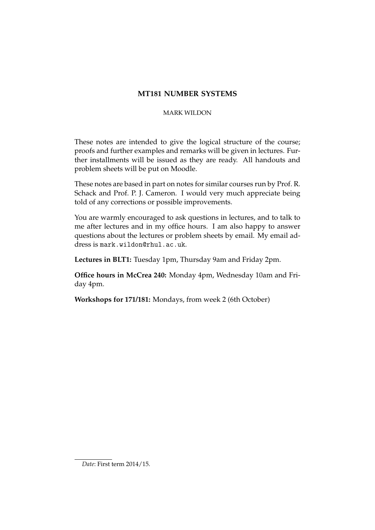# **MT181 NUMBER SYSTEMS**

# MARK WILDON

These notes are intended to give the logical structure of the course; proofs and further examples and remarks will be given in lectures. Further installments will be issued as they are ready. All handouts and problem sheets will be put on Moodle.

These notes are based in part on notes for similar courses run by Prof. R. Schack and Prof. P. J. Cameron. I would very much appreciate being told of any corrections or possible improvements.

You are warmly encouraged to ask questions in lectures, and to talk to me after lectures and in my office hours. I am also happy to answer questions about the lectures or problem sheets by email. My email address is mark.wildon@rhul.ac.uk.

**Lectures in BLT1:** Tuesday 1pm, Thursday 9am and Friday 2pm.

**Office hours in McCrea 240:** Monday 4pm, Wednesday 10am and Friday 4pm.

**Workshops for 171/181:** Mondays, from week 2 (6th October)

*Date*: First term 2014/15.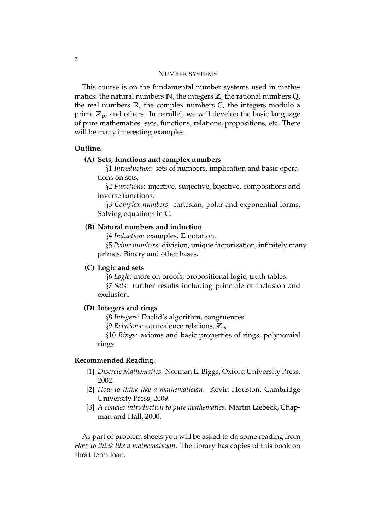### NUMBER SYSTEMS

This course is on the fundamental number systems used in mathematics: the natural numbers **N**, the integers **Z**, the rational numbers **Q**, the real numbers **R**, the complex numbers **C**, the integers modulo a prime  $\mathbb{Z}_p$ , and others. In parallel, we will develop the basic language of pure mathematics: sets, functions, relations, propositions, etc. There will be many interesting examples.

# **Outline.**

### **(A) Sets, functions and complex numbers**

§1 *Introduction*: sets of numbers, implication and basic operations on sets.

§2 *Functions*: injective, surjective, bijective, compositions and inverse functions.

§3 *Complex numbers*: cartesian, polar and exponential forms. Solving equations in **C**.

# **(B) Natural numbers and induction**

§4 *Induction:* examples. Σ notation.

§5 *Prime numbers:* division, unique factorization, infinitely many primes. Binary and other bases.

# **(C) Logic and sets**

§6 *Logic:* more on proofs, propositional logic, truth tables. §7 *Sets:* further results including principle of inclusion and exclusion.

# **(D) Integers and rings**

§8 *Integers:* Euclid's algorithm, congruences.

§9 *Relations:* equivalence relations, **Z***m*.

§10 *Rings:* axioms and basic properties of rings, polynomial rings.

#### **Recommended Reading.**

- [1] *Discrete Mathematics*. Norman L. Biggs, Oxford University Press, 2002.
- [2] *How to think like a mathematician*. Kevin Houston, Cambridge University Press, 2009.
- [3] *A concise introduction to pure mathematics*. Martin Liebeck, Chapman and Hall, 2000.

As part of problem sheets you will be asked to do some reading from *How to think like a mathematician*. The library has copies of this book on short-term loan.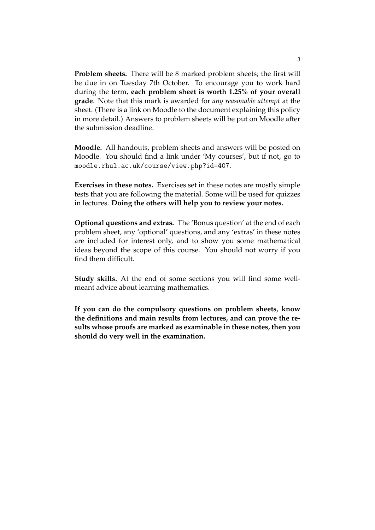**Problem sheets.** There will be 8 marked problem sheets; the first will be due in on Tuesday 7th October. To encourage you to work hard during the term, **each problem sheet is worth 1.25% of your overall grade**. Note that this mark is awarded for *any reasonable attempt* at the sheet. (There is a link on Moodle to the document explaining this policy in more detail.) Answers to problem sheets will be put on Moodle after the submission deadline.

**Moodle.** All handouts, problem sheets and answers will be posted on Moodle. You should find a link under 'My courses', but if not, go to moodle.rhul.ac.uk/course/view.php?id=407.

**Exercises in these notes.** Exercises set in these notes are mostly simple tests that you are following the material. Some will be used for quizzes in lectures. **Doing the others will help you to review your notes.**

**Optional questions and extras.** The 'Bonus question' at the end of each problem sheet, any 'optional' questions, and any 'extras' in these notes are included for interest only, and to show you some mathematical ideas beyond the scope of this course. You should not worry if you find them difficult.

**Study skills.** At the end of some sections you will find some wellmeant advice about learning mathematics.

**If you can do the compulsory questions on problem sheets, know the definitions and main results from lectures, and can prove the results whose proofs are marked as examinable in these notes, then you should do very well in the examination.**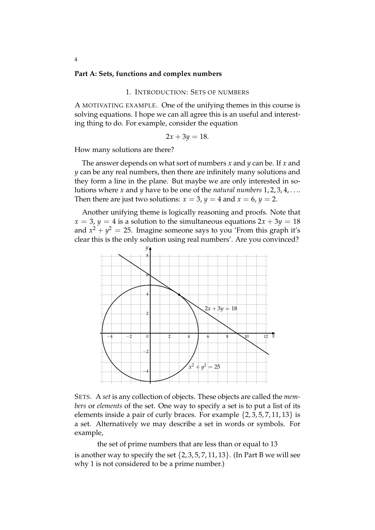#### **Part A: Sets, functions and complex numbers**

#### 1. INTRODUCTION: SETS OF NUMBERS

A MOTIVATING EXAMPLE. One of the unifying themes in this course is solving equations. I hope we can all agree this is an useful and interesting thing to do. For example, consider the equation

$$
2x + 3y = 18.
$$

How many solutions are there?

The answer depends on what sort of numbers *x* and *y* can be. If *x* and *y* can be any real numbers, then there are infinitely many solutions and they form a line in the plane. But maybe we are only interested in solutions where *x* and *y* have to be one of the *natural numbers* 1, 2, 3, 4, . . .. Then there are just two solutions:  $x = 3$ ,  $y = 4$  and  $x = 6$ ,  $y = 2$ .

Another unifying theme is logically reasoning and proofs. Note that  $x = 3$ ,  $y = 4$  is a solution to the simultaneous equations  $2x + 3y = 18$ and  $x^2 + y^2 = 25$ . Imagine someone says to you 'From this graph it's clear this is the only solution using real numbers'. Are you convinced?



SETS. A *set* is any collection of objects. These objects are called the *members* or *elements* of the set. One way to specify a set is to put a list of its elements inside a pair of curly braces. For example  $\{2, 3, 5, 7, 11, 13\}$  is a set. Alternatively we may describe a set in words or symbols. For example,

the set of prime numbers that are less than or equal to 13 is another way to specify the set  $\{2, 3, 5, 7, 11, 13\}$ . (In Part B we will see why 1 is not considered to be a prime number.)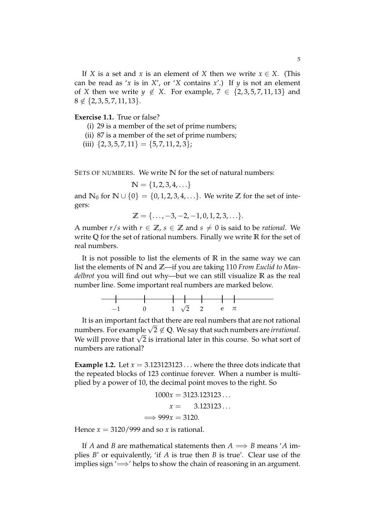If *X* is a set and *x* is an element of *X* then we write  $x \in X$ . (This can be read as '*x* is in *X'*, or '*X* contains *x'*.) If  $\psi$  is not an element of *X* then we write  $y \notin X$ . For example,  $7 \in \{2, 3, 5, 7, 11, 13\}$  and  $8 \notin \{2, 3, 5, 7, 11, 13\}.$ 

# **Exercise 1.1.** True or false?

- (i) 29 is a member of the set of prime numbers;
- (ii) 87 is a member of the set of prime numbers;
- (iii)  $\{2, 3, 5, 7, 11\} = \{5, 7, 11, 2, 3\};$

SETS OF NUMBERS. We write **N** for the set of natural numbers:

$$
\mathbb{N} = \{1,2,3,4,\ldots\}
$$

and  $\mathbb{N}_0$  for  $\mathbb{N} \cup \{0\} = \{0, 1, 2, 3, 4, \ldots\}$ . We write  $\mathbb{Z}$  for the set of integers:

$$
\mathbb{Z} = \{\ldots, -3, -2, -1, 0, 1, 2, 3, \ldots\}.
$$

A number  $r/s$  with  $r \in \mathbb{Z}$ ,  $s \in \mathbb{Z}$  and  $s \neq 0$  is said to be *rational*. We write **Q** for the set of rational numbers. Finally we write **R** for the set of real numbers.

It is not possible to list the elements of **R** in the same way we can list the elements of **N** and **Z**—if you are taking 110 *From Euclid to Mandelbrot* you will find out why—but we can still visualize **R** as the real number line. Some important real numbers are marked below.



It is an important fact that there are real numbers that are not rational numbers. For example  $\sqrt{2} \notin Q$ . We say that such numbers are *irrational*. We will prove that  $\sqrt{2}$  is irrational later in this course. So what sort of numbers are rational?

**Example 1.2.** Let  $x = 3.123123123...$  where the three dots indicate that the repeated blocks of 123 continue forever. When a number is multiplied by a power of 10, the decimal point moves to the right. So

$$
1000x = 3123.123123\dots
$$

$$
x = 3.123123\dots
$$

$$
\implies 999x = 3120.
$$

Hence  $x = 3120/999$  and so x is rational.

If *A* and *B* are mathematical statements then  $A \implies B$  means '*A* implies *B*' or equivalently, 'if *A* is true then *B* is true'. Clear use of the implies sign  $\implies$ ' helps to show the chain of reasoning in an argument.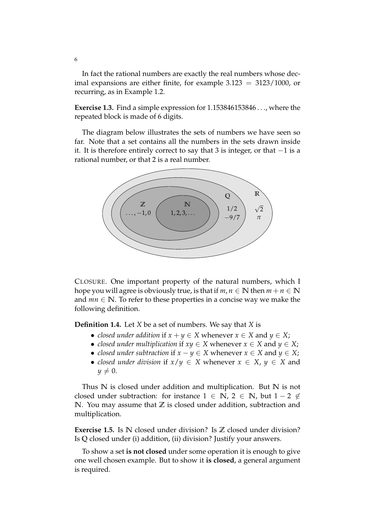In fact the rational numbers are exactly the real numbers whose decimal expansions are either finite, for example  $3.123 = 3123/1000$ , or recurring, as in Example 1.2.

**Exercise 1.3.** Find a simple expression for 1.153846153846 . . ., where the repeated block is made of 6 digits.

The diagram below illustrates the sets of numbers we have seen so far. Note that a set contains all the numbers in the sets drawn inside it. It is therefore entirely correct to say that 3 is integer, or that  $-1$  is a rational number, or that 2 is a real number.



CLOSURE. One important property of the natural numbers, which I hope you will agree is obviously true, is that if  $m, n \in \mathbb{N}$  then  $m + n \in \mathbb{N}$ and  $mn \in \mathbb{N}$ . To refer to these properties in a concise way we make the following definition.

**Definition 1.4.** Let *X* be a set of numbers. We say that *X* is

- *closed under addition* if  $x + y \in X$  whenever  $x \in X$  and  $y \in X$ ;
- *closed under multiplication* if  $xy \in X$  whenever  $x \in X$  and  $y \in X$ ;
- *closed under subtraction* if  $x y \in X$  whenever  $x \in X$  and  $y \in X$ ;
- *closed under division* if  $x/y \in X$  whenever  $x \in X$ ,  $y \in X$  and  $y \neq 0$ .

Thus **N** is closed under addition and multiplication. But **N** is not closed under subtraction: for instance  $1 \in \mathbb{N}$ ,  $2 \in \mathbb{N}$ , but  $1 - 2 \notin \mathbb{N}$ **N**. You may assume that **Z** is closed under addition, subtraction and multiplication.

**Exercise 1.5.** Is **N** closed under division? Is **Z** closed under division? Is **Q** closed under (i) addition, (ii) division? Justify your answers.

To show a set **is not closed** under some operation it is enough to give one well chosen example. But to show it **is closed**, a general argument is required.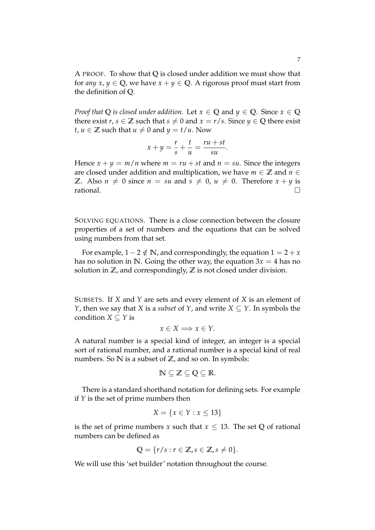A PROOF. To show that **Q** is closed under addition we must show that for *any x*,  $y \in \mathbb{Q}$ , we have  $x + y \in \mathbb{Q}$ . A rigorous proof must start from the definition of **Q**.

*Proof that*  $Q$  *is closed under addition.* Let  $x \in Q$  and  $y \in Q$ . Since  $x \in Q$ there exist  $r, s \in \mathbb{Z}$  such that  $s \neq 0$  and  $x = r/s$ . Since  $y \in \mathbb{Q}$  there exist *t*,  $u \in \mathbb{Z}$  such that  $u \neq 0$  and  $y = t/u$ . Now

$$
x + y = \frac{r}{s} + \frac{t}{u} = \frac{ru + st}{su}.
$$

Hence  $x + y = m/n$  where  $m = ru + st$  and  $n = su$ . Since the integers are closed under addition and multiplication, we have  $m \in \mathbb{Z}$  and  $n \in \mathbb{Z}$ **Z**. Also  $n \neq 0$  since  $n = su$  and  $s \neq 0$ ,  $u \neq 0$ . Therefore  $x + y$  is rational.  $\Box$  rational.

SOLVING EQUATIONS. There is a close connection between the closure properties of a set of numbers and the equations that can be solved using numbers from that set.

For example,  $1 - 2 \notin \mathbb{N}$ , and correspondingly, the equation  $1 = 2 + x$ has no solution in N. Going the other way, the equation  $3x = 4$  has no solution in **Z**, and correspondingly, **Z** is not closed under division.

SUBSETS. If *X* and *Y* are sets and every element of *X* is an element of *Y*, then we say that *X* is a *subset* of *Y*, and write  $X \subseteq Y$ . In symbols the condition *X*  $\subset$  *Y* is

$$
x \in X \Longrightarrow x \in Y.
$$

A natural number is a special kind of integer, an integer is a special sort of rational number, and a rational number is a special kind of real numbers. So **N** is a subset of **Z**, and so on. In symbols:

$$
\mathbb{N}\subseteq\mathbb{Z}\subseteq\mathbb{Q}\subseteq\mathbb{R}.
$$

There is a standard shorthand notation for defining sets. For example if *Y* is the set of prime numbers then

$$
X = \{x \in Y : x \le 13\}
$$

is the set of prime numbers *x* such that  $x \leq 13$ . The set Q of rational numbers can be defined as

$$
\mathbb{Q} = \{r/s : r \in \mathbb{Z}, s \in \mathbb{Z}, s \neq 0\}.
$$

We will use this 'set builder' notation throughout the course.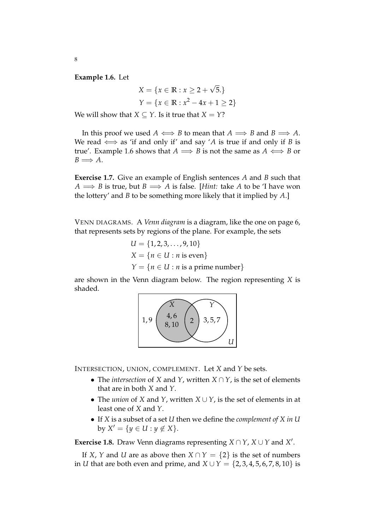**Example 1.6.** Let

$$
X = \{x \in \mathbb{R} : x \ge 2 + \sqrt{5}.\}
$$
  

$$
Y = \{x \in \mathbb{R} : x^2 - 4x + 1 \ge 2\}
$$

We will show that *X*  $\subset$  *Y*. Is it true that *X* = *Y*?

In this proof we used  $A \iff B$  to mean that  $A \implies B$  and  $B \implies A$ . We read  $\iff$  as 'if and only if' and say 'A is true if and only if *B* is true'. Example 1.6 shows that  $A \implies B$  is not the same as  $A \iff B$  or  $B \Longrightarrow A.$ 

**Exercise 1.7.** Give an example of English sentences *A* and *B* such that  $A \implies B$  is true, but  $B \implies A$  is false. [*Hint:* take *A* to be 'I have won the lottery' and *B* to be something more likely that it implied by *A*.]

VENN DIAGRAMS. A *Venn diagram* is a diagram, like the one on page 6, that represents sets by regions of the plane. For example, the sets

$$
U = \{1, 2, 3, \dots, 9, 10\}
$$
  

$$
X = \{n \in U : n \text{ is even}\}
$$
  

$$
Y = \{n \in U : n \text{ is a prime number}\}\
$$

are shown in the Venn diagram below. The region representing *X* is shaded.



INTERSECTION, UNION, COMPLEMENT. Let *X* and *Y* be sets.

- The *intersection* of *X* and *Y*, written *X* ∩ *Y*, is the set of elements that are in both *X* and *Y*.
- The *union* of *X* and *Y*, written *X* ∪ *Y*, is the set of elements in at least one of *X* and *Y*.
- If *X* is a subset of a set *U* then we define the *complement of X in U*  $by X' = \{y \in U : y \notin X\}.$

**Exercise 1.8.** Draw Venn diagrams representing  $X \cap Y$ ,  $X \cup Y$  and  $X'$ .

If *X*, *Y* and *U* are as above then  $X \cap Y = \{2\}$  is the set of numbers in *U* that are both even and prime, and *X* ∪ *Y* = {2, 3, 4, 5, 6, 7, 8, 10} is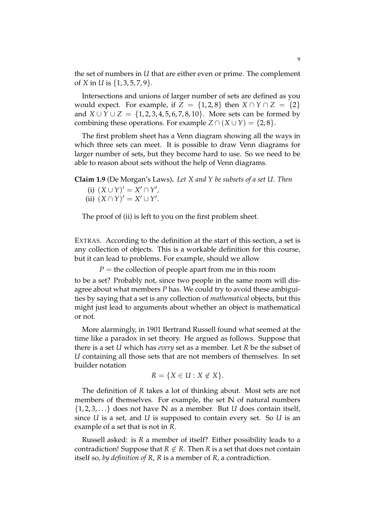the set of numbers in *U* that are either even or prime. The complement of *X* in *U* is {1, 3, 5, 7, 9}.

Intersections and unions of larger number of sets are defined as you would expect. For example, if  $Z = \{1,2,8\}$  then  $X \cap Y \cap Z = \{2\}$ and *X* ∪ *Y* ∪ *Z* = {1, 2, 3, 4, 5, 6, 7, 8, 10}. More sets can be formed by combining these operations. For example  $Z \cap (X \cup Y) = \{2, 8\}.$ 

The first problem sheet has a Venn diagram showing all the ways in which three sets can meet. It is possible to draw Venn diagrams for larger number of sets, but they become hard to use. So we need to be able to reason about sets without the help of Venn diagrams.

**Claim 1.9** (De Morgan's Laws)**.** *Let X and Y be subsets of a set U. Then*

- (i)  $(X \cup Y)' = X' \cap Y'$ ,
- (ii)  $(X \cap Y)' = X' \cup Y'$ .

The proof of (ii) is left to you on the first problem sheet.

EXTRAS. According to the definition at the start of this section, a set is any collection of objects. This is a workable definition for this course, but it can lead to problems. For example, should we allow

 $P =$  the collection of people apart from me in this room

to be a set? Probably not, since two people in the same room will disagree about what members *P* has. We could try to avoid these ambiguities by saying that a set is any collection of *mathematical* objects, but this might just lead to arguments about whether an object is mathematical or not.

More alarmingly, in 1901 Bertrand Russell found what seemed at the time like a paradox in set theory. He argued as follows. Suppose that there is a set *U* which has *every* set as a member. Let *R* be the subset of *U* containing all those sets that are not members of themselves. In set builder notation

$$
R = \{ X \in U : X \notin X \}.
$$

The definition of *R* takes a lot of thinking about. Most sets are not members of themselves. For example, the set **N** of natural numbers {1, 2, 3, . . .} does not have **N** as a member. But *U* does contain itself, since *U* is a set, and *U* is supposed to contain every set. So *U* is an example of a set that is not in *R*.

Russell asked: is *R* a member of itself? Either possibility leads to a contradiction! Suppose that  $R \notin R$ . Then  $R$  is a set that does not contain itself so, *by definition of R*, *R* is a member of *R*, a contradiction.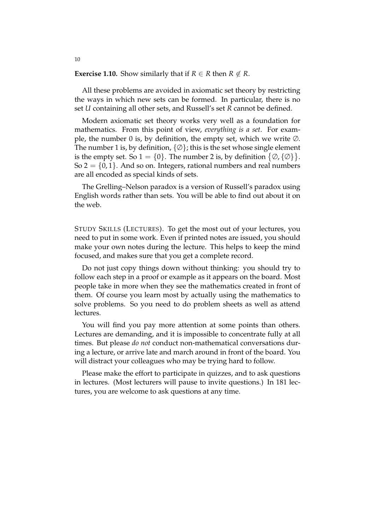#### **Exercise 1.10.** Show similarly that if  $R \in \mathbb{R}$  then  $R \notin \mathbb{R}$ .

10

All these problems are avoided in axiomatic set theory by restricting the ways in which new sets can be formed. In particular, there is no set *U* containing all other sets, and Russell's set *R* cannot be defined.

Modern axiomatic set theory works very well as a foundation for mathematics. From this point of view, *everything is a set*. For example, the number 0 is, by definition, the empty set, which we write ∅. The number 1 is, by definition,  $\{\emptyset\}$ ; this is the set whose single element is the empty set. So  $1 = \{0\}$ . The number 2 is, by definition  $\{\emptyset, \{\emptyset\}\}.$ So  $2 = \{0, 1\}$ . And so on. Integers, rational numbers and real numbers are all encoded as special kinds of sets.

The Grelling–Nelson paradox is a version of Russell's paradox using English words rather than sets. You will be able to find out about it on the web.

STUDY SKILLS (LECTURES). To get the most out of your lectures, you need to put in some work. Even if printed notes are issued, you should make your own notes during the lecture. This helps to keep the mind focused, and makes sure that you get a complete record.

Do not just copy things down without thinking: you should try to follow each step in a proof or example as it appears on the board. Most people take in more when they see the mathematics created in front of them. Of course you learn most by actually using the mathematics to solve problems. So you need to do problem sheets as well as attend lectures.

You will find you pay more attention at some points than others. Lectures are demanding, and it is impossible to concentrate fully at all times. But please *do not* conduct non-mathematical conversations during a lecture, or arrive late and march around in front of the board. You will distract your colleagues who may be trying hard to follow.

Please make the effort to participate in quizzes, and to ask questions in lectures. (Most lecturers will pause to invite questions.) In 181 lectures, you are welcome to ask questions at any time.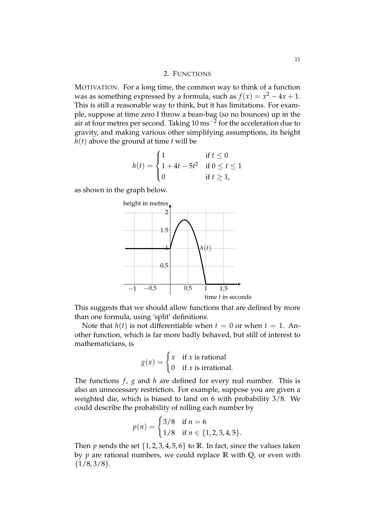### 2. FUNCTIONS

MOTIVATION. For a long time, the common way to think of a function was as something expressed by a formula, such as  $f(x) = x^2 - 4x + 1$ . This is still a reasonable way to think, but it has limitations. For example, suppose at time zero I throw a bean-bag (so no bounces) up in the air at four metres per second. Taking  $10\,\mathrm{ms}^{-2}$  for the acceleration due to gravity, and making various other simplifying assumptions, its height  $h(t)$  above the ground at time  $t$  will be

$$
h(t) = \begin{cases} 1 & \text{if } t \le 0 \\ 1 + 4t - 5t^2 & \text{if } 0 \le t \le 1 \\ 0 & \text{if } t \ge 1, \end{cases}
$$

as shown in the graph below.



This suggests that we should allow functions that are defined by more than one formula, using 'split' definitions.

Note that  $h(t)$  is not differentiable when  $t = 0$  or when  $t = 1$ . Another function, which is far more badly behaved, but still of interest to mathematicians, is

$$
g(x) = \begin{cases} x & \text{if } x \text{ is rational} \\ 0 & \text{if } x \text{ is irrational.} \end{cases}
$$

The functions *f* , *g* and *h* are defined for every real number. This is also an unnecessary restriction. For example, suppose you are given a weighted die, which is biased to land on 6 with probability 3/8. We could describe the probability of rolling each number by

$$
p(n) = \begin{cases} 3/8 & \text{if } n = 6 \\ 1/8 & \text{if } n \in \{1, 2, 3, 4, 5\}. \end{cases}
$$

Then *p* sends the set  $\{1, 2, 3, 4, 5, 6\}$  to **R**. In fact, since the values taken by *p* are rational numbers, we could replace **R** with **Q**, or even with  ${1/8, 3/8}.$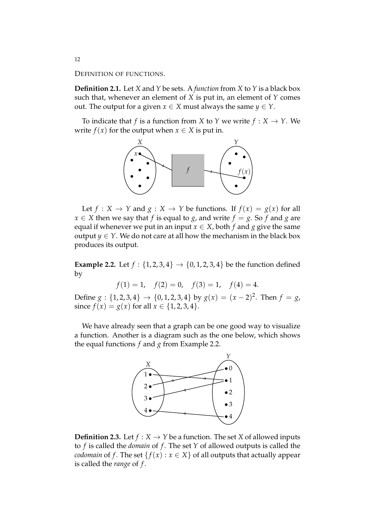DEFINITION OF FUNCTIONS.

**Definition 2.1.** Let *X* and *Y* be sets. A *function* from *X* to *Y* is a black box such that, whenever an element of *X* is put in, an element of *Y* comes out. The output for a given  $x \in X$  must always the same  $y \in Y$ .

To indicate that *f* is a function from *X* to *Y* we write  $f : X \rightarrow Y$ . We write  $f(x)$  for the output when  $x \in X$  is put in.



Let  $f: X \to Y$  and  $g: X \to Y$  be functions. If  $f(x) = g(x)$  for all  $x \in X$  then we say that *f* is equal to *g*, and write  $f = g$ . So *f* and *g* are equal if whenever we put in an input  $x \in X$ , both  $f$  and  $g$  give the same output *y*  $\in$  *Y*. We do not care at all how the mechanism in the black box produces its output.

**Example 2.2.** Let  $f : \{1, 2, 3, 4\} \rightarrow \{0, 1, 2, 3, 4\}$  be the function defined by

$$
f(1) = 1
$$
,  $f(2) = 0$ ,  $f(3) = 1$ ,  $f(4) = 4$ .

Define  $g: \{1, 2, 3, 4\} \rightarrow \{0, 1, 2, 3, 4\}$  by  $g(x) = (x - 2)^2$ . Then  $f = g$ , since  $f(x) = g(x)$  for all  $x \in \{1, 2, 3, 4\}.$ 

We have already seen that a graph can be one good way to visualize a function. Another is a diagram such as the one below, which shows the equal functions *f* and *g* from Example 2.2.



**Definition 2.3.** Let  $f : X \to Y$  be a function. The set *X* of allowed inputs to *f* is called the *domain* of *f* . The set *Y* of allowed outputs is called the *codomain* of *f*. The set  $\{f(x) : x \in X\}$  of all outputs that actually appear is called the *range* of *f* .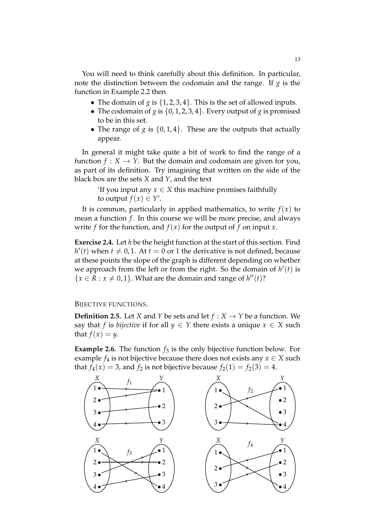You will need to think carefully about this definition. In particular, note the distinction between the codomain and the range. If *g* is the function in Example 2.2 then

- The domain of *g* is  $\{1, 2, 3, 4\}$ . This is the set of allowed inputs.
- The codomain of *g* is  $\{0, 1, 2, 3, 4\}$ . Every output of *g* is promised to be in this set.
- The range of *g* is  $\{0, 1, 4\}$ . These are the outputs that actually appear.

In general it might take quite a bit of work to find the range of a function  $f: X \to Y$ . But the domain and codomain are given for you, as part of its definition. Try imagining that written on the side of the black box are the sets *X* and *Y*, and the text

> The *I* you input any  $x \in X$  this machine promises faithfully to output  $f(x) \in Y'$ .

It is common, particularly in applied mathematics, to write  $f(x)$  to mean a function *f*. In this course we will be more precise, and always write *f* for the function, and  $f(x)$  for the output of *f* on input *x*.

**Exercise 2.4.** Let *h* be the height function at the start of this section. Find  $h'(t)$  when  $t \neq 0, 1$ . At  $t = 0$  or 1 the derivative is not defined, because at these points the slope of the graph is different depending on whether we approach from the left or from the right. So the domain of  $h'(t)$  is  ${x \in R : x \neq 0, 1}$ . What are the domain and range of  $h''(t)$ ?

### BIJECTIVE FUNCTIONS.

**Definition 2.5.** Let *X* and *Y* be sets and let  $f : X \rightarrow Y$  be a function. We say that *f* is *bijective* if for all  $y \in Y$  there exists a unique  $x \in X$  such that  $f(x) = y$ .

**Example 2.6.** The function  $f_3$  is the only bijective function below. For example  $f_4$  is not bijective because there does not exists any  $x \in X$  such that  $f_4(x) = 3$ , and  $f_2$  is not bijective because  $f_2(1) = f_2(3) = 4$ .

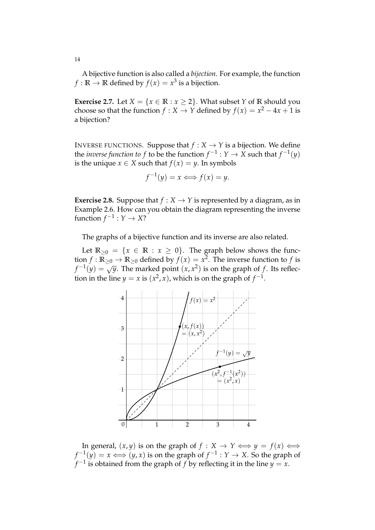A bijective function is also called a *bijection*. For example, the function *f* :  $\mathbb{R} \to \mathbb{R}$  defined by  $f(x) = x^3$  is a bijection.

**Exercise 2.7.** Let  $X = \{x \in \mathbb{R} : x \geq 2\}$ . What subset *Y* of **R** should you choose so that the function *f* : *X* → *Y* defined by  $f(x) = x^2 - 4x + 1$  is a bijection?

INVERSE FUNCTIONS. Suppose that  $f : X \to Y$  is a bijection. We define the *inverse function to f* to be the function  $f^{-1}: Y \to X$  such that  $f^{-1}(y)$ is the unique  $x \in X$  such that  $f(x) = y$ . In symbols

$$
f^{-1}(y) = x \Longleftrightarrow f(x) = y.
$$

**Exercise 2.8.** Suppose that  $f : X \rightarrow Y$  is represented by a diagram, as in Example 2.6. How can you obtain the diagram representing the inverse function  $f^{-1}: Y \to X$ ?

The graphs of a bijective function and its inverse are also related.

Let  $\mathbb{R}_{\geq 0} = \{x \in \mathbb{R} : x \geq 0\}$ . The graph below shows the function *f* :  $\mathbb{R}_{\geq 0} \to \mathbb{R}_{\geq 0}$  defined by  $f(x) = x^2$ . The inverse function to *f* is  $f^{-1}(y) = \sqrt{y}$ . The marked point  $(x, x^2)$  is on the graph of *f*. Its reflection in the line  $y = x$  is  $(x^2, x)$ , which is on the graph of  $f^{-1}$ .



In general,  $(x, y)$  is on the graph of  $f : X \to Y \iff y = f(x) \iff y = f(x)$  $f^{-1}(y) = x \Longleftrightarrow (y, x)$  is on the graph of  $f^{-1}: Y \to X$ . So the graph of  $f^{-1}$  is obtained from the graph of  $f$  by reflecting it in the line  $y = x$ .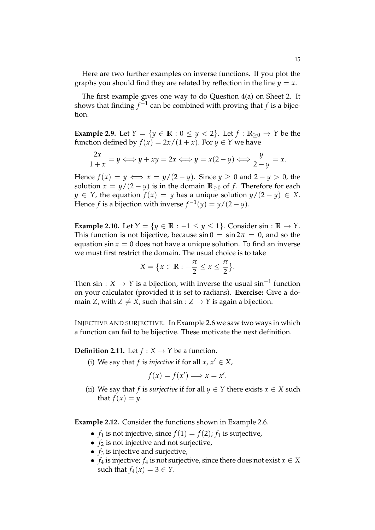Here are two further examples on inverse functions. If you plot the graphs you should find they are related by reflection in the line  $y = x$ .

The first example gives one way to do Question 4(a) on Sheet 2. It shows that finding  $f^{-1}$  can be combined with proving that  $f$  is a bijection.

**Example 2.9.** Let  $Y = \{y \in \mathbb{R} : 0 \le y < 2\}$ . Let  $f : \mathbb{R}_{\ge 0} \to Y$  be the function defined by  $f(x) = 2x/(1+x)$ . For  $y \in Y$  we have

$$
\frac{2x}{1+x} = y \Longleftrightarrow y + xy = 2x \Longleftrightarrow y = x(2-y) \Longleftrightarrow \frac{y}{2-y} = x.
$$

Hence  $f(x) = y \iff x = y/(2 - y)$ . Since  $y > 0$  and  $2 - y > 0$ , the solution  $x = y/(2 - y)$  is in the domain  $\mathbb{R}_{\geq 0}$  of *f*. Therefore for each *y* ∈ *Y*, the equation  $f(x) = y$  has a unique solution  $y/(2 - y) \in X$ . Hence *f* is a bijection with inverse  $f^{-1}(y) = y/(2-y)$ .

**Example 2.10.** Let  $Y = \{y \in \mathbb{R} : -1 \le y \le 1\}$ . Consider sin :  $\mathbb{R} \to Y$ . This function is not bijective, because  $\sin 0 = \sin 2\pi = 0$ , and so the equation  $\sin x = 0$  does not have a unique solution. To find an inverse we must first restrict the domain. The usual choice is to take

$$
X = \{x \in \mathbb{R} : -\frac{\pi}{2} \le x \le \frac{\pi}{2}\}.
$$

Then sin : *X*  $\rightarrow$  *Y* is a bijection, with inverse the usual sin<sup>-1</sup> function on your calculator (provided it is set to radians). **Exercise:** Give a domain *Z*, with  $Z \neq X$ , such that  $\sin : Z \rightarrow Y$  is again a bijection.

INJECTIVE AND SURJECTIVE. In Example 2.6 we saw two ways in which a function can fail to be bijective. These motivate the next definition.

**Definition 2.11.** Let  $f: X \rightarrow Y$  be a function.

(i) We say that *f* is *injective* if for all  $x, x' \in X$ ,

$$
f(x) = f(x') \Longrightarrow x = x'.
$$

(ii) We say that *f* is *surjective* if for all  $y \in Y$  there exists  $x \in X$  such that  $f(x) = y$ .

**Example 2.12.** Consider the functions shown in Example 2.6.

- $f_1$  is not injective, since  $f(1) = f(2)$ ;  $f_1$  is surjective,
- $f_2$  is not injective and not surjective,
- $f_3$  is injective and surjective,
- *f*<sub>4</sub> is injective; *f*<sub>4</sub> is not surjective, since there does not exist  $x \in X$ such that  $f_4(x) = 3 \in Y$ .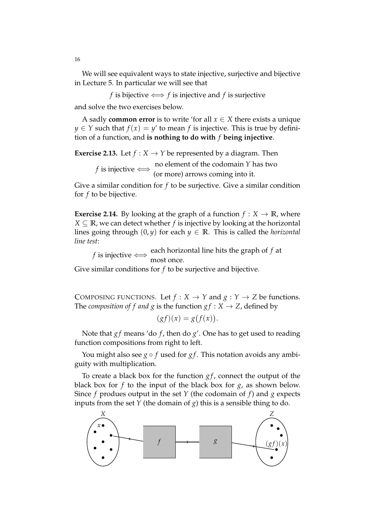We will see equivalent ways to state injective, surjective and bijective in Lecture 5. In particular we will see that

*f* is bijective  $\Longleftrightarrow f$  is injective and *f* is surjective and solve the two exercises below.

A sadly **common error** is to write 'for all  $x \in X$  there exists a unique  $y \in Y$  such that  $f(x) = y'$  to mean *f* is injective. This is true by definition of a function, and **is nothing to do with** *f* **being injective**.

**Exercise 2.13.** Let  $f : X \rightarrow Y$  be represented by a diagram. Then *f* is injective  $\iff$  no element of the codomain *Y* has two  $($ or more) arrows coming into it (or more) arrows coming into it.

Give a similar condition for *f* to be surjective. Give a similar condition for *f* to be bijective.

**Exercise 2.14.** By looking at the graph of a function  $f: X \to \mathbb{R}$ , where  $X \subseteq \mathbb{R}$ , we can detect whether *f* is injective by looking at the horizontal lines going through  $(0, y)$  for each  $y \in \mathbb{R}$ . This is called the *horizontal line test*:

*f* is injective  $\Longleftrightarrow$  each horizontal line hits the graph of *f* at most once. most once.

Give similar conditions for *f* to be surjective and bijective.

COMPOSING FUNCTIONS. Let  $f : X \to Y$  and  $g : Y \to Z$  be functions. The *composition of f and g* is the function  $gf : X \rightarrow Z$ , defined by

$$
(gf)(x) = g(f(x)).
$$

Note that *gf* means 'do *f*, then do *g'*. One has to get used to reading function compositions from right to left.

You might also see *g* ◦ *f* used for *g f* . This notation avoids any ambiguity with multiplication.

To create a black box for the function  $gf$ , connect the output of the black box for *f* to the input of the black box for *g*, as shown below. Since *f* produes output in the set *Y* (the codomain of *f*) and *g* expects inputs from the set  $Y$  (the domain of  $g$ ) this is a sensible thing to do.

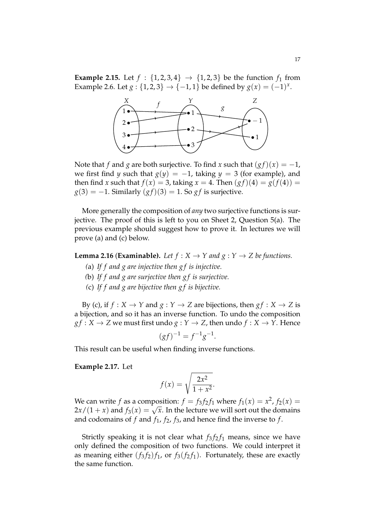**Example 2.15.** Let  $f : \{1, 2, 3, 4\} \rightarrow \{1, 2, 3\}$  be the function  $f_1$  from Example 2.6. Let  $g: \{1, 2, 3\} \to \{-1, 1\}$  be defined by  $g(x) = (-1)^x$ .



Note that *f* and *g* are both surjective. To find *x* such that  $(gf)(x) = -1$ , we first find *y* such that  $g(y) = -1$ , taking  $y = 3$  (for example), and then find *x* such that  $f(x) = 3$ , taking  $x = 4$ . Then  $(gf)(4) = g(f(4))$  $g(3) = -1$ . Similarly  $(gf)(3) = 1$ . So *gf* is surjective.

More generally the composition of *any* two surjective functions is surjective. The proof of this is left to you on Sheet 2, Question 5(a). The previous example should suggest how to prove it. In lectures we will prove (a) and (c) below.

**Lemma 2.16 (Examinable).** Let  $f : X \to Y$  and  $g : Y \to Z$  be functions.

- *(*a) *If f and g are injective then g f is injective.*
- *(*b) *If f and g are surjective then g f is surjective.*
- *(*c) *If f and g are bijective then g f is bijective.*

By (c), if  $f : X \to Y$  and  $g : Y \to Z$  are bijections, then  $gf : X \to Z$  is a bijection, and so it has an inverse function. To undo the composition  $gf: X \to Z$  we must first undo  $g: Y \to Z$ , then undo  $f: X \to Y$ . Hence

$$
(gf)^{-1} = f^{-1}g^{-1}.
$$

This result can be useful when finding inverse functions.

### **Example 2.17.** Let

$$
f(x) = \sqrt{\frac{2x^2}{1+x^2}}.
$$

We can write  $f$  as a composition:  $f = f_3 f_2 f_1$  where  $f_1(x) = x^2$ ,  $f_2(x) = x^2$  $2x/(1+x)$  and  $f_3(x) = \sqrt{x}$ . In the lecture we will sort out the domains and codomains of  $f$  and  $f_1$ ,  $f_2$ ,  $f_3$ , and hence find the inverse to  $f$ .

Strictly speaking it is not clear what  $f_3 f_2 f_1$  means, since we have only defined the composition of two functions. We could interpret it as meaning either  $(f_3 f_2) f_1$ , or  $f_3 (f_2 f_1)$ . Fortunately, these are exactly the same function.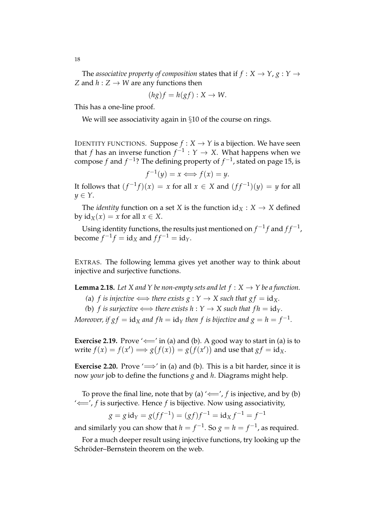The *associative property of composition* states that if  $f: X \to Y, g: Y \to Y$ *Z* and  $h: Z \rightarrow W$  are any functions then

$$
(hg)f = h(gf) : X \to W.
$$

This has a one-line proof.

We will see associativity again in §10 of the course on rings.

IDENTITY FUNCTIONS. Suppose  $f : X \to Y$  is a bijection. We have seen that *f* has an inverse function  $f^{-1}: Y \to X$ . What happens when we compose *f* and *f* −1 ? The defining property of *f* −1 , stated on page 15, is

 $f^{-1}(y) = x \Longleftrightarrow f(x) = y.$ 

It follows that  $(f^{-1}f)(x) = x$  for all  $x \in X$  and  $(ff^{-1})(y) = y$  for all  $y \in Y$ .

The *identity* function on a set *X* is the function  $id_X : X \to X$  defined by  $\mathrm{id}_X(x) = x$  for all  $x \in X$ .

Using identity functions, the results just mentioned on  $f^{-1}f$  and  $ff^{-1}$ ,  $\text{become } f^{-1}f = \text{id}_X \text{ and } ff^{-1} = \text{id}_Y.$ 

EXTRAS. The following lemma gives yet another way to think about injective and surjective functions.

**Lemma 2.18.** Let X and Y be non-empty sets and let  $f: X \rightarrow Y$  be a function.

- (a) *f is injective*  $\Longleftrightarrow$  *there exists*  $g : Y \rightarrow X$  *such that*  $gf = id_X$ *.*
- *(b) f is surjective*  $\Longleftrightarrow$  *there exists*  $h: Y \rightarrow X$  *such that*  $fh = id_Y$ .

*Moreover, if*  $gf = \text{id}_X$  *and*  $fh = \text{id}_Y$  *then*  $f$  *is bijective and*  $g = h = f^{-1}.$ 

**Exercise 2.19.** Prove ' $\Leftarrow$ ' in (a) and (b). A good way to start in (a) is to write  $f(x) = f(x') \Longrightarrow g(f(x)) = g(f(x'))$  and use that  $gf = id_X$ .

**Exercise 2.20.** Prove  $\iff$ ' in (a) and (b). This is a bit harder, since it is now *your* job to define the functions *g* and *h*. Diagrams might help.

To prove the final line, note that by (a)  $\leftarrow$  *f* is injective, and by (b) '⇐=', *f* is surjective. Hence *f* is bijective. Now using associativity,

$$
g = g \operatorname{id}_{Y} = g(ff^{-1}) = (gf)f^{-1} = \operatorname{id}_{X} f^{-1} = f^{-1}
$$

and similarly you can show that  $h = f^{-1}$ . So  $g = h = f^{-1}$ , as required.

For a much deeper result using injective functions, try looking up the Schröder–Bernstein theorem on the web.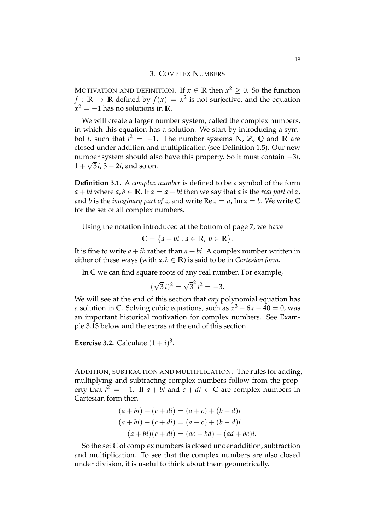# 3. COMPLEX NUMBERS

MOTIVATION AND DEFINITION. If  $x \in \mathbb{R}$  then  $x^2 \ge 0$ . So the function  $f: \mathbb{R} \to \mathbb{R}$  defined by  $f(x) = x^2$  is not surjective, and the equation  $x^2 = -1$  has no solutions in **R**.

We will create a larger number system, called the complex numbers, in which this equation has a solution. We start by introducing a symbol *i*, such that  $i^2 = -1$ . The number systems **N**, **Z**, **Q** and **R** are closed under addition and multiplication (see Definition 1.5). Our new number system should also have this property. So it must contain −3*i*,  $1 + \sqrt{3}i$ ,  $3 - 2i$ , and so on.

**Definition 3.1.** A *complex number* is defined to be a symbol of the form  $a + bi$  where  $a, b \in \mathbb{R}$ . If  $z = a + bi$  then we say that *a* is the *real part* of *z*, and *b* is the *imaginary part of z*, and write  $\text{Re } z = a$ ,  $\text{Im } z = b$ . We write C for the set of all complex numbers.

Using the notation introduced at the bottom of page 7, we have

$$
\mathbb{C} = \{a + bi : a \in \mathbb{R}, b \in \mathbb{R}\}.
$$

It is fine to write  $a + ib$  rather than  $a + bi$ . A complex number written in either of these ways (with  $a, b \in \mathbb{R}$ ) is said to be in *Cartesian form*.

In **C** we can find square roots of any real number. For example,

$$
(\sqrt{3} i)^2 = \sqrt{3}^2 i^2 = -3.
$$

We will see at the end of this section that *any* polynomial equation has a solution in **C**. Solving cubic equations, such as  $x^3 - 6x - 40 = 0$ , was an important historical motivation for complex numbers. See Example 3.13 below and the extras at the end of this section.

**Exercise 3.2.** Calculate  $(1 + i)^3$ .

ADDITION, SUBTRACTION AND MULTIPLICATION. The rules for adding, multiplying and subtracting complex numbers follow from the property that  $i^2 = -1$ . If *a* + *bi* and *c* + *di* ∈ **C** are complex numbers in Cartesian form then

$$
(a + bi) + (c + di) = (a + c) + (b + d)i
$$
  
\n
$$
(a + bi) - (c + di) = (a - c) + (b - d)i
$$
  
\n
$$
(a + bi)(c + di) = (ac - bd) + (ad + bc)i.
$$

So the set **C** of complex numbers is closed under addition, subtraction and multiplication. To see that the complex numbers are also closed under division, it is useful to think about them geometrically.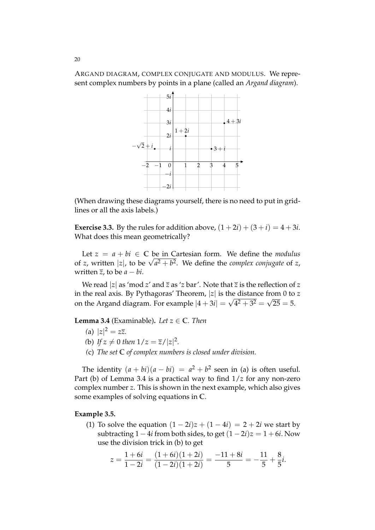ARGAND DIAGRAM, COMPLEX CONJUGATE AND MODULUS. We represent complex numbers by points in a plane (called an *Argand diagram*).



(When drawing these diagrams yourself, there is no need to put in gridlines or all the axis labels.)

**Exercise 3.3.** By the rules for addition above,  $(1+2i) + (3+i) = 4+3i$ . What does this mean geometrically?

Let  $z = a + bi \in \mathbb{C}$  be in Cartesian form. We define the *modulus* of *z*, written |*z*|, to be  $\sqrt{a^2 + b^2}$ . We define the *complex conjugate* of *z*, written  $\overline{z}$ , to be  $a - bi$ .

We read |*z*| as 'mod *z*' and  $\overline{z}$  as '*z* bar'. Note that  $\overline{z}$  is the reflection of *z* in the real axis. By Pythagoras' Theorem, |*z*| is the distance from 0 to *z* on the Argand diagram. For example  $|4 + 3i| = \sqrt{4^2 + 3^2} = \sqrt{25} = 5$ .

**Lemma 3.4** (Examinable). Let  $z \in \mathbb{C}$ *. Then* 

- (a)  $|z|^2 = z\overline{z}$ .
- *(b) If*  $z \neq 0$  *then*  $1/z = \overline{z}/|z|^2$ *.*
- *(*c) *The set* **C** *of complex numbers is closed under division.*

The identity  $(a + bi)(a - bi) = a^2 + b^2$  seen in (a) is often useful. Part (b) of Lemma 3.4 is a practical way to find 1/*z* for any non-zero complex number *z*. This is shown in the next example, which also gives some examples of solving equations in **C**.

### **Example 3.5.**

(1) To solve the equation  $(1 – 2i)z + (1 – 4i) = 2 + 2i$  we start by subtracting  $1 - 4i$  from both sides, to get  $(1 - 2i)z = 1 + 6i$ . Now use the division trick in (b) to get

$$
z = \frac{1+6i}{1-2i} = \frac{(1+6i)(1+2i)}{(1-2i)(1+2i)} = \frac{-11+8i}{5} = -\frac{11}{5} + \frac{8}{5}i.
$$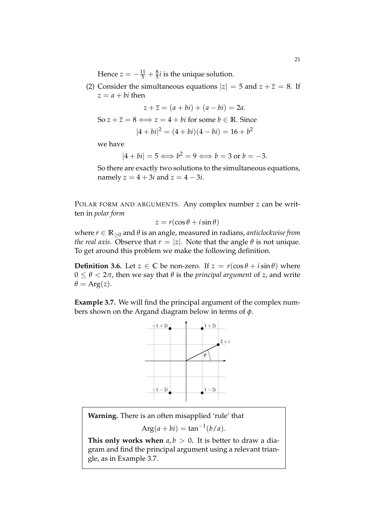Hence  $z = -\frac{11}{5} + \frac{8}{5}i$  is the unique solution.

(2) Consider the simultaneous equations  $|z| = 5$  and  $z + \overline{z} = 8$ . If  $z = a + bi$  then

$$
z + \overline{z} = (a + bi) + (a - bi) = 2a.
$$
  
So  $z + \overline{z} = 8 \Longleftrightarrow z = 4 + bi$  for some  $b \in \mathbb{R}$ . Since  

$$
|4 + bi|^2 = (4 + bi)(4 - bi) = 16 + b^2
$$

we have

$$
|4+bi|=5 \Longleftrightarrow b^2=9 \Longleftrightarrow b=3 \text{ or } b=-3.
$$

So there are exactly two solutions to the simultaneous equations, namely  $z = 4 + 3i$  and  $z = 4 - 3i$ .

POLAR FORM AND ARGUMENTS. Any complex number *z* can be written in *polar form*

$$
z = r(\cos\theta + i\sin\theta)
$$

where *r* ∈ **R**≥<sup>0</sup> and *θ* is an angle, measured in radians, *anticlockwise from the real axis.* Observe that  $r = |z|$ . Note that the angle  $\theta$  is not unique. To get around this problem we make the following definition.

**Definition 3.6.** Let  $z \in \mathbb{C}$  be non-zero. If  $z = r(\cos \theta + i \sin \theta)$  where  $0 \le \theta < 2\pi$ , then we say that  $\theta$  is the *principal argument* of *z*, and write  $\theta = \text{Arg}(z)$ .

**Example 3.7.** We will find the principal argument of the complex numbers shown on the Argand diagram below in terms of *φ*.



**Warning.** There is an often misapplied 'rule' that

 $Arg(a + bi) = tan^{-1}(b/a).$ 

**This only works when**  $a, b > 0$ . It is better to draw a diagram and find the principal argument using a relevant triangle, as in Example 3.7.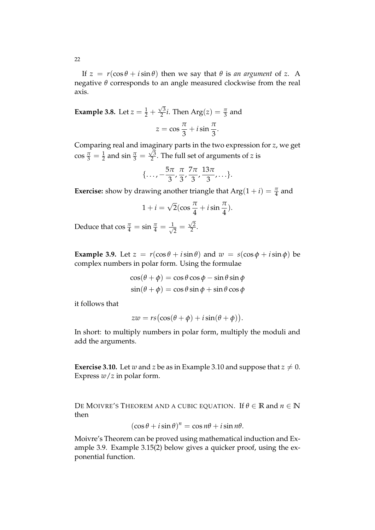If  $z = r(\cos \theta + i \sin \theta)$  then we say that  $\theta$  is *an argument* of *z*. A negative *θ* corresponds to an angle measured clockwise from the real axis.

**Example 3.8.** Let  $z = \frac{1}{2} + \frac{\sqrt{3}}{2}$  $\frac{\sqrt{3}}{2}i$ . Then Arg $(z) = \frac{\pi}{3}$  and  $z = \cos \frac{\pi}{2}$  $\frac{\pi}{3} + i \sin \frac{\pi}{3}.$ 

Comparing real and imaginary parts in the two expression for *z*, we get  $\cos \frac{\pi}{3} = \frac{1}{2}$  and  $\sin \frac{\pi}{3} = \frac{\sqrt{3}}{2}$  $\frac{\sqrt{3}}{2}$ . The full set of arguments of *z* is

$$
\{\ldots, -\frac{5\pi}{3}, \frac{\pi}{3}, \frac{7\pi}{3}, \frac{13\pi}{3}, \ldots\}.
$$

**Exercise:** show by drawing another triangle that  $Arg(1 + i) = \frac{\pi}{4}$  and

$$
1 + i = \sqrt{2} \left( \cos \frac{\pi}{4} + i \sin \frac{\pi}{4} \right).
$$

Deduce that  $\cos \frac{\pi}{4} = \sin \frac{\pi}{4} = \frac{1}{\sqrt{4}}$  $\frac{1}{2} = \frac{\sqrt{2}}{2}$  $\frac{7}{2}$ .

**Example 3.9.** Let  $z = r(\cos \theta + i \sin \theta)$  and  $w = s(\cos \phi + i \sin \phi)$  be complex numbers in polar form. Using the formulae

$$
\cos(\theta + \phi) = \cos \theta \cos \phi - \sin \theta \sin \phi
$$
  

$$
\sin(\theta + \phi) = \cos \theta \sin \phi + \sin \theta \cos \phi
$$

it follows that

$$
zw = rs(\cos(\theta + \phi) + i\sin(\theta + \phi)).
$$

In short: to multiply numbers in polar form, multiply the moduli and add the arguments.

**Exercise 3.10.** Let *w* and *z* be as in Example 3.10 and suppose that  $z \neq 0$ . Express *w*/*z* in polar form.

DE MOIVRE'S THEOREM AND A CUBIC EQUATION. If  $\theta \in \mathbb{R}$  and  $n \in \mathbb{N}$ then

$$
(\cos\theta + i\sin\theta)^n = \cos n\theta + i\sin n\theta.
$$

Moivre's Theorem can be proved using mathematical induction and Example 3.9. Example 3.15(2) below gives a quicker proof, using the exponential function.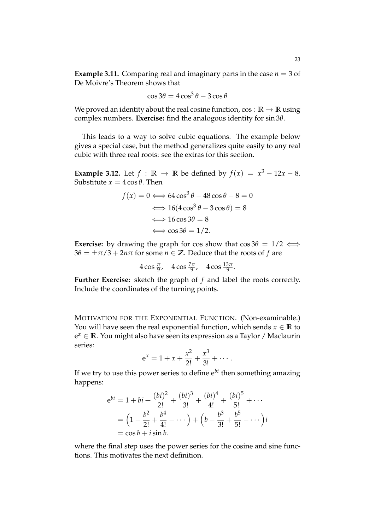**Example 3.11.** Comparing real and imaginary parts in the case  $n = 3$  of De Moivre's Theorem shows that

$$
\cos 3\theta = 4\cos^3 \theta - 3\cos \theta
$$

We proved an identity about the real cosine function,  $\cos : \mathbb{R} \to \mathbb{R}$  using complex numbers. **Exercise:** find the analogous identity for sin 3*θ*.

This leads to a way to solve cubic equations. The example below gives a special case, but the method generalizes quite easily to any real cubic with three real roots: see the extras for this section.

**Example 3.12.** Let  $f : \mathbb{R} \to \mathbb{R}$  be defined by  $f(x) = x^3 - 12x - 8$ . Substitute  $x = 4 \cos \theta$ . Then

$$
f(x) = 0 \Longleftrightarrow 64 \cos^3 \theta - 48 \cos \theta - 8 = 0
$$

$$
\Longleftrightarrow 16(4 \cos^3 \theta - 3 \cos \theta) = 8
$$

$$
\Longleftrightarrow 16 \cos 3\theta = 8
$$

$$
\Longleftrightarrow \cos 3\theta = 1/2.
$$

**Exercise:** by drawing the graph for cos show that  $\cos 3\theta = 1/2 \iff$  $3\theta = \pm \pi/3 + 2n\pi$  for some  $n \in \mathbb{Z}$ . Deduce that the roots of *f* are

$$
4\cos\frac{\pi}{9}, \quad 4\cos\frac{7\pi}{9}, \quad 4\cos\frac{13\pi}{9}.
$$

**Further Exercise:** sketch the graph of *f* and label the roots correctly. Include the coordinates of the turning points.

MOTIVATION FOR THE EXPONENTIAL FUNCTION. (Non-examinable.) You will have seen the real exponential function, which sends  $x \in \mathbb{R}$  to e *<sup>x</sup>* <sup>∈</sup> **<sup>R</sup>**. You might also have seen its expression as a Taylor / Maclaurin series:

$$
e^x = 1 + x + \frac{x^2}{2!} + \frac{x^3}{3!} + \cdots
$$

If we try to use this power series to define e*bi* then something amazing happens:

$$
e^{bi} = 1 + bi + \frac{(bi)^2}{2!} + \frac{(bi)^3}{3!} + \frac{(bi)^4}{4!} + \frac{(bi)^5}{5!} + \cdots
$$
  
=  $\left(1 - \frac{b^2}{2!} + \frac{b^4}{4!} - \cdots\right) + \left(b - \frac{b^3}{3!} + \frac{b^5}{5!} - \cdots\right)i$   
=  $\cos b + i \sin b$ .

where the final step uses the power series for the cosine and sine functions. This motivates the next definition.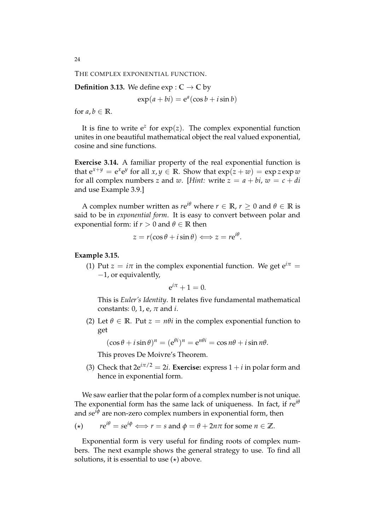THE COMPLEX EXPONENTIAL FUNCTION.

**Definition 3.13.** We define  $exp: \mathbb{C} \to \mathbb{C}$  by

 $\exp(a + bi) = e^a(\cos b + i\sin b)$ 

for  $a, b \in \mathbb{R}$ .

It is fine to write  $e^z$  for  $exp(z)$ . The complex exponential function unites in one beautiful mathematical object the real valued exponential, cosine and sine functions.

**Exercise 3.14.** A familiar property of the real exponential function is that  $e^{x+y} = e^x e^y$  for all  $x, y \in \mathbb{R}$ . Show that  $exp(z+w) = exp z exp w$ for all complex numbers *z* and *w*. [*Hint:* write  $z = a + bi$ ,  $w = c + di$ and use Example 3.9.]

A complex number written as  $re^{i\theta}$  where  $r \in \mathbb{R}$ ,  $r \ge 0$  and  $\theta \in \mathbb{R}$  is said to be in *exponential form*. It is easy to convert between polar and exponential form: if  $r > 0$  and  $\theta \in \mathbb{R}$  then

$$
z = r(\cos\theta + i\sin\theta) \Longleftrightarrow z = re^{i\theta}.
$$

#### **Example 3.15.**

(1) Put  $z = i\pi$  in the complex exponential function. We get  $e^{i\pi} =$ −1, or equivalently,

$$
e^{i\pi}+1=0.
$$

This is *Euler's Identity*. It relates five fundamental mathematical constants: 0, 1, e, *π* and *i*.

(2) Let  $\theta \in \mathbb{R}$ . Put  $z = n\theta i$  in the complex exponential function to get

 $(\cos \theta + i \sin \theta)^n = (e^{\theta i})^n = e^{n\theta i} = \cos n\theta + i \sin n\theta.$ 

This proves De Moivre's Theorem.

(3) Check that  $2e^{i\pi/2} = 2i$ . **Exercise:** express  $1 + i$  in polar form and hence in exponential form.

We saw earlier that the polar form of a complex number is not unique. The exponential form has the same lack of uniqueness. In fact, if  $re^{i\theta}$ and *s*e *<sup>i</sup><sup>φ</sup>* are non-zero complex numbers in exponential form, then

$$
(*) \t re^{i\theta} = se^{i\phi} \Longleftrightarrow r = s \text{ and } \phi = \theta + 2n\pi \text{ for some } n \in \mathbb{Z}.
$$

Exponential form is very useful for finding roots of complex numbers. The next example shows the general strategy to use. To find all solutions, it is essential to use  $(\star)$  above.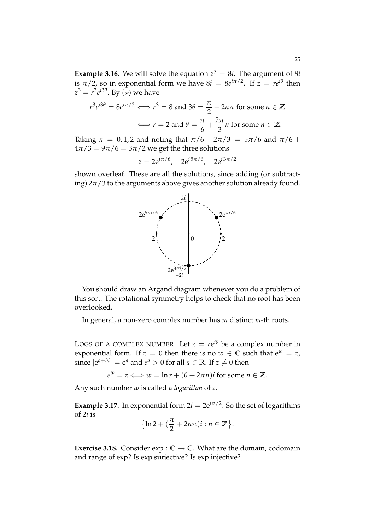**Example 3.16.** We will solve the equation  $z^3 = 8i$ . The argument of 8*i* is  $\pi/2$ , so in exponential form we have  $8i = 8e^{i\pi/2}$ . If  $z = re^{i\theta}$  then  $z^3 = r^3 e^{i3\theta}$ . By  $(\star)$  we have

$$
r^3 e^{i3\theta} = 8e^{i\pi/2} \Longleftrightarrow r^3 = 8 \text{ and } 3\theta = \frac{\pi}{2} + 2n\pi \text{ for some } n \in \mathbb{Z}
$$

$$
\Longleftrightarrow r = 2 \text{ and } \theta = \frac{\pi}{6} + \frac{2\pi}{3}n \text{ for some } n \in \mathbb{Z}.
$$

Taking  $n = 0, 1, 2$  and noting that  $\pi/6 + 2\pi/3 = 5\pi/6$  and  $\pi/6 +$  $4\pi/3 = 9\pi/6 = 3\pi/2$  we get the three solutions

$$
z = 2e^{i\pi/6}
$$
,  $2e^{i5\pi/6}$ ,  $2e^{i3\pi/2}$ 

shown overleaf. These are all the solutions, since adding (or subtracting)  $2\pi/3$  to the arguments above gives another solution already found.



You should draw an Argand diagram whenever you do a problem of this sort. The rotational symmetry helps to check that no root has been overlooked.

In general, a non-zero complex number has *m* distinct *m*-th roots.

LOGS OF A COMPLEX NUMBER. Let  $z = re^{i\theta}$  be a complex number in exponential form. If  $z = 0$  then there is no  $w \in \mathbb{C}$  such that  $e^w = z$ , since  $|e^{a+bi}| = e^a$  and  $e^a > 0$  for all  $a \in \mathbb{R}$ . If  $z \neq 0$  then

 $e^{w} = z \Longleftrightarrow w = \ln r + (\theta + 2\pi n)i$  for some  $n \in \mathbb{Z}$ .

Any such number *w* is called a *logarithm* of *z*.

**Example 3.17.** In exponential form  $2i = 2e^{i\pi/2}$ . So the set of logarithms of 2*i* is

$$
\{\ln 2+(\frac{\pi}{2}+2n\pi)i:n\in\mathbb{Z}\}.
$$

**Exercise 3.18.** Consider  $exp: \mathbb{C} \to \mathbb{C}$ . What are the domain, codomain and range of exp? Is exp surjective? Is exp injective?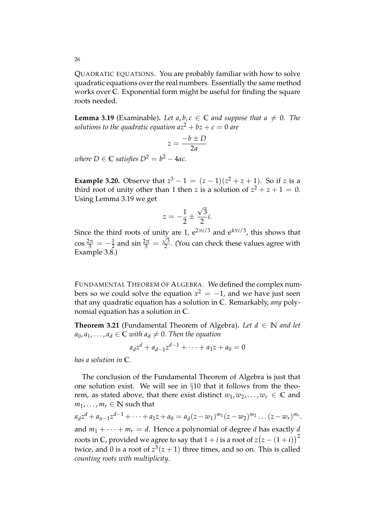QUADRATIC EQUATIONS. You are probably familiar with how to solve quadratic equations over the real numbers. Essentially the same method works over **C**. Exponential form might be useful for finding the square roots needed.

**Lemma 3.19** (Examinable). Let  $a, b, c \in \mathbb{C}$  and suppose that  $a \neq 0$ . The *solutions to the quadratic equation*  $az^2 + bz + c = 0$  *are* 

$$
z = \frac{-b \pm D}{2a}
$$

*where*  $D \in \mathbb{C}$  *satisfies*  $D^2 = b^2 - 4ac$ .

**Example 3.20.** Observe that  $z^3 - 1 = (z - 1)(z^2 + z + 1)$ . So if *z* is a third root of unity other than 1 then *z* is a solution of  $z^2 + z + 1 = 0$ . Using Lemma 3.19 we get

$$
z=-\frac{1}{2}\pm\frac{\sqrt{3}}{2}i.
$$

Since the third roots of unity are 1,  $e^{2\pi i/3}$  and  $e^{4\pi i/3}$ , this shows that cos  $\frac{2\pi}{3} = -\frac{1}{2}$  and sin  $\frac{2\pi}{3} = \frac{\sqrt{3}}{2}$  $\frac{\sqrt{3}}{2}$ . (You can check these values agree with Example 3.8.)

FUNDAMENTAL THEOREM OF ALGEBRA. We defined the complex numbers so we could solve the equation  $x^2 = -1$ , and we have just seen that any quadratic equation has a solution in **C**. Remarkably, *any* polynomial equation has a solution in **C**.

**Theorem 3.21** (Fundamental Theorem of Algebra). Let  $d \in \mathbb{N}$  and let  $a_0, a_1, \ldots, a_d \in \mathbb{C}$  *with*  $a_d \neq 0$ *. Then the equation* 

$$
a_d z^d + a_{d-1} z^{d-1} + \dots + a_1 z + a_0 = 0
$$

*has a solution in* **C***.*

The conclusion of the Fundamental Theorem of Algebra is just that one solution exist. We will see in §10 that it follows from the theorem, as stated above, that there exist distinct  $w_1, w_2, \ldots, w_r \in \mathbb{C}$  and  $m_1, \ldots, m_r \in \mathbb{N}$  such that

 $a_d z^d + a_{n-1} z^{d-1} + \cdots + a_1 z + a_0 = a_d (z - w_1)^{m_1} (z - w_2)^{m_2} \ldots (z - w_r)^{m_r}.$ and  $m_1 + \cdots + m_r = d$ . Hence a polynomial of degree *d* has exactly *d* roots in  $\mathbb{C}$ , provided we agree to say that  $1 + i$  is a root of  $z(z - (1 + i))^2$ twice, and 0 is a root of  $z^3(z+1)$  three times, and so on. This is called *counting roots with multiplicity*.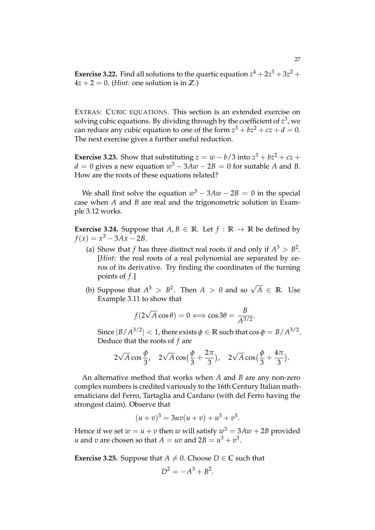**Exercise 3.22.** Find all solutions to the quartic equation  $z^4 + 2z^3 + 3z^2 +$  $4z + 2 = 0$ . (*Hint:* one solution is in **Z**.)

EXTRAS: CUBIC EQUATIONS. This section is an extended exercise on solving cubic equations. By dividing through by the coefficient of  $z^3$ , we can reduce any cubic equation to one of the form  $z^3 + bz^2 + cz + d = 0$ . The next exercise gives a further useful reduction.

**Exercise 3.23.** Show that substituting  $z = w - b/3$  into  $z^3 + bz^2 + cz + c$  $d = 0$  gives a new equation  $w^3 - 3Aw - 2B = 0$  for suitable *A* and *B*. How are the roots of these equations related?

We shall first solve the equation  $w^3 - 3Aw - 2B = 0$  in the special case when *A* and *B* are real and the trigonometric solution in Example 3.12 works.

**Exercise 3.24.** Suppose that  $A, B \in \mathbb{R}$ . Let  $f : \mathbb{R} \to \mathbb{R}$  be defined by  $f(x) = x^3 - 3Ax - 2B$ .

- (a) Show that *f* has three distinct real roots if and only if  $A^3 > B^2$ . [*Hint:* the real roots of a real polynomial are separated by zeros of its derivative. Try finding the coordinates of the turning points of *f* .]
- (b) Suppose that  $A^3 > B^2$ . Then  $A > 0$  and so  $\sqrt{A} \in \mathbb{R}$ . Use Example 3.11 to show that

$$
f(2\sqrt{A}\cos\theta) = 0 \Longleftrightarrow \cos 3\theta = \frac{B}{A^{3/2}}.
$$

Since  $|B/A^{3/2}| < 1$ , there exists  $\phi \in \mathbb{R}$  such that  $\cos \phi = B/A^{3/2}$ . Deduce that the roots of *f* are

$$
2\sqrt{A}\cos\frac{\phi}{3}
$$
,  $2\sqrt{A}\cos\left(\frac{\phi}{3} + \frac{2\pi}{3}\right)$ ,  $2\sqrt{A}\cos\left(\frac{\phi}{3} + \frac{4\pi}{3}\right)$ .

An alternative method that works when *A* and *B* are any non-zero complex numbers is credited variously to the 16th Century Italian mathematicians del Ferro, Tartaglia and Cardano (with del Ferro having the strongest claim). Observe that

$$
(u+v)^3 = 3uv(u+v) + u^3 + v^3.
$$

Hence if we set  $w = u + v$  then  $w$  will satisfy  $w^3 = 3Aw + 2B$  provided *u* and *v* are chosen so that  $A = uv$  and  $2B = u^3 + v^3$ .

**Exercise 3.25.** Suppose that  $A \neq 0$ . Choose  $D \in \mathbb{C}$  such that

$$
D^2 = -A^3 + B^2.
$$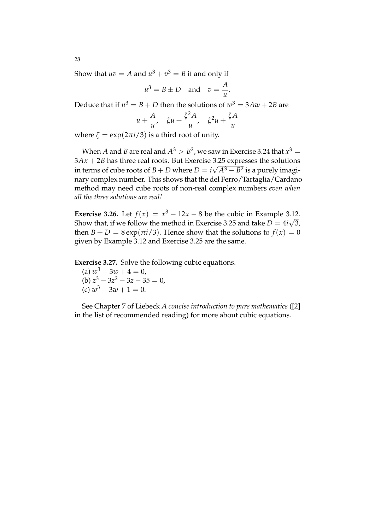Show that  $uv = A$  and  $u^3 + v^3 = B$  if and only if

$$
u^3 = B \pm D \quad \text{and} \quad v = \frac{A}{u}.
$$

Deduce that if  $u^3 = B + D$  then the solutions of  $w^3 = 3 A w + 2 B$  are

$$
u + \frac{A}{u}, \quad \zeta u + \frac{\zeta^2 A}{u}, \quad \zeta^2 u + \frac{\zeta A}{u}
$$

where  $\zeta = \exp(2\pi i/3)$  is a third root of unity.

When  $A$  and  $B$  are real and  $A^3 > B^2$ , we saw in Exercise 3.24 that  $x^3 =$  $3Ax + 2B$  has three real roots. But Exercise 3.25 expresses the solutions in terms of cube roots of *B* + *D* where  $D = i\sqrt{A^3 - B^2}$  is a purely imaginary complex number. This shows that the del Ferro/Tartaglia/Cardano method may need cube roots of non-real complex numbers *even when all the three solutions are real!*

**Exercise 3.26.** Let  $f(x) = x^3 - 12x - 8$  be the cubic in Example 3.12. Show that, if we follow the method in Exercise 3.25 and take  $D = 4i\sqrt{3}$ , then  $B + D = 8 \exp(\pi i/3)$ . Hence show that the solutions to  $f(x) = 0$ given by Example 3.12 and Exercise 3.25 are the same.

**Exercise 3.27.** Solve the following cubic equations.

(a)  $w^3 - 3w + 4 = 0$ , (b)  $z^3 - 3z^2 - 3z - 35 = 0$ , (c)  $w^3 - 3w + 1 = 0$ .

See Chapter 7 of Liebeck *A concise introduction to pure mathematics* ([2] in the list of recommended reading) for more about cubic equations.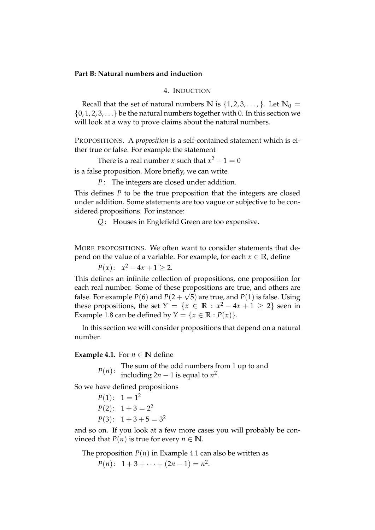# **Part B: Natural numbers and induction**

# 4. INDUCTION

Recall that the set of natural numbers  $\mathbb{N}$  is  $\{1, 2, 3, \ldots\}$ . Let  $\mathbb{N}_0 =$  $\{0, 1, 2, 3, \ldots\}$  be the natural numbers together with 0. In this section we will look at a way to prove claims about the natural numbers.

PROPOSITIONS. A *proposition* is a self-contained statement which is either true or false. For example the statement

There is a real number *x* such that  $x^2 + 1 = 0$ 

is a false proposition. More briefly, we can write

*P* : The integers are closed under addition.

This defines *P* to be the true proposition that the integers are closed under addition. Some statements are too vague or subjective to be considered propositions. For instance:

*Q* : Houses in Englefield Green are too expensive.

MORE PROPOSITIONS. We often want to consider statements that depend on the value of a variable. For example, for each  $x \in \mathbb{R}$ , define

 $P(x)$ :  $x^2 - 4x + 1 \ge 2$ .

This defines an infinite collection of propositions, one proposition for each real number. Some of these propositions are true, and others are false. For example  $P(6)$  and  $P(2 + \sqrt{5})$  are true, and  $P(1)$  is false. Using these propositions, the set  $Y = \{x \in \mathbb{R} : x^2 - 4x + 1 \ge 2\}$  seen in Example 1.8 can be defined by  $Y = \{x \in \mathbb{R} : P(x)\}.$ 

In this section we will consider propositions that depend on a natural number.

# **Example 4.1.** For  $n \in \mathbb{N}$  define

*P(n)*: The sum of the odd numbers from 1 up to and  $P(n)$ : including 2n = 1 is equal to  $n^2$ including  $2n - 1$  is equal to  $n^2$ .

So we have defined propositions

 $P(1): 1 = 1^2$  $P(2): 1+3=2^2$  $P(3): 1+3+5=3^2$ 

and so on. If you look at a few more cases you will probably be convinced that *P*(*n*) is true for every *n*  $\in$  **N**.

The proposition  $P(n)$  in Example 4.1 can also be written as

 $P(n):$  1+3+ $\cdots$ +(2*n* − 1) = *n*<sup>2</sup>.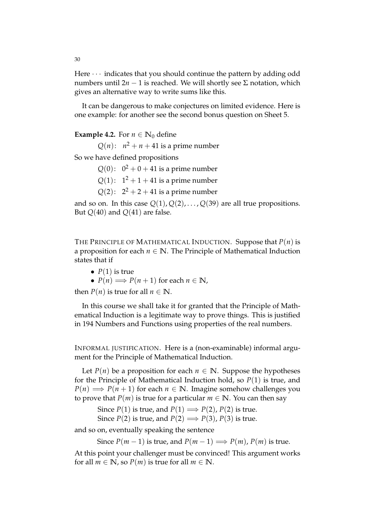Here  $\cdots$  indicates that you should continue the pattern by adding odd numbers until 2*n* − 1 is reached. We will shortly see  $Σ$  notation, which gives an alternative way to write sums like this.

It can be dangerous to make conjectures on limited evidence. Here is one example: for another see the second bonus question on Sheet 5.

**Example 4.2.** For  $n \in \mathbb{N}_0$  define

 $Q(n)$ :  $n^2 + n + 41$  is a prime number

So we have defined propositions

 $Q(0)$ :  $0^2 + 0 + 41$  is a prime number

 $Q(1)$ :  $1^2 + 1 + 41$  is a prime number

 $Q(2)$ :  $2^2 + 2 + 41$  is a prime number

and so on. In this case  $Q(1), Q(2), \ldots, Q(39)$  are all true propositions. But *Q*(40) and *Q*(41) are false.

THE PRINCIPLE OF MATHEMATICAL INDUCTION. Suppose that *P*(*n*) is a proposition for each  $n \in \mathbb{N}$ . The Principle of Mathematical Induction states that if

•  $P(1)$  is true

• 
$$
P(n) \Longrightarrow P(n+1)
$$
 for each  $n \in \mathbb{N}$ ,

then *P*(*n*) is true for all *n*  $\in$  **N**.

In this course we shall take it for granted that the Principle of Mathematical Induction is a legitimate way to prove things. This is justified in 194 Numbers and Functions using properties of the real numbers.

INFORMAL JUSTIFICATION. Here is a (non-examinable) informal argument for the Principle of Mathematical Induction.

Let  $P(n)$  be a proposition for each  $n \in \mathbb{N}$ . Suppose the hypotheses for the Principle of Mathematical Induction hold, so *P*(1) is true, and  $P(n) \implies P(n+1)$  for each  $n \in \mathbb{N}$ . Imagine somehow challenges you to prove that *P*(*m*) is true for a particular *m*  $\in$  **N**. You can then say

Since *P*(1) is true, and *P*(1)  $\implies$  *P*(2), *P*(2) is true.

Since *P*(2) is true, and *P*(2)  $\implies$  *P*(3), *P*(3) is true.

and so on, eventually speaking the sentence

Since  $P(m-1)$  is true, and  $P(m-1) \Longrightarrow P(m)$ ,  $P(m)$  is true.

At this point your challenger must be convinced! This argument works for all  $m \in \mathbb{N}$ , so  $P(m)$  is true for all  $m \in \mathbb{N}$ .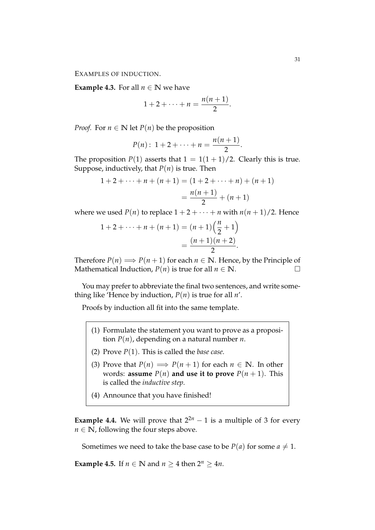EXAMPLES OF INDUCTION.

**Example 4.3.** For all  $n \in \mathbb{N}$  we have

$$
1+2+\cdots+n=\frac{n(n+1)}{2}.
$$

*Proof.* For  $n \in \mathbb{N}$  let  $P(n)$  be the proposition

$$
P(n): 1 + 2 + \cdots + n = \frac{n(n+1)}{2}.
$$

The proposition  $P(1)$  asserts that  $1 = 1(1 + 1)/2$ . Clearly this is true. Suppose, inductively, that  $P(n)$  is true. Then

$$
1 + 2 + \dots + n + (n + 1) = (1 + 2 + \dots + n) + (n + 1)
$$

$$
= \frac{n(n + 1)}{2} + (n + 1)
$$

where we used  $P(n)$  to replace  $1 + 2 + \cdots + n$  with  $n(n + 1)/2$ . Hence

$$
1 + 2 + \dots + n + (n + 1) = (n + 1) \left(\frac{n}{2} + 1\right)
$$
  
= 
$$
\frac{(n + 1)(n + 2)}{2}.
$$

Therefore  $P(n) \implies P(n+1)$  for each  $n \in \mathbb{N}$ . Hence, by the Principle of Mathematical Induction,  $P(n)$  is true for all  $n \in \mathbb{N}$ . Mathematical Induction,  $P(n)$  is true for all  $n \in \mathbb{N}$ .

You may prefer to abbreviate the final two sentences, and write something like 'Hence by induction,  $P(n)$  is true for all  $n'$ .

Proofs by induction all fit into the same template.

- (1) Formulate the statement you want to prove as a proposition *P*(*n*), depending on a natural number *n*.
- (2) Prove *P*(1). This is called the *base case*.
- (3) Prove that  $P(n) \implies P(n+1)$  for each  $n \in \mathbb{N}$ . In other words: **assume**  $P(n)$  **and use it to prove**  $P(n+1)$ . This is called the *inductive step*.
- (4) Announce that you have finished!

**Example 4.4.** We will prove that  $2^{2n} - 1$  is a multiple of 3 for every  $n \in \mathbb{N}$ , following the four steps above.

Sometimes we need to take the base case to be  $P(a)$  for some  $a \neq 1$ .

**Example 4.5.** If  $n \in \mathbb{N}$  and  $n \geq 4$  then  $2^n \geq 4n$ .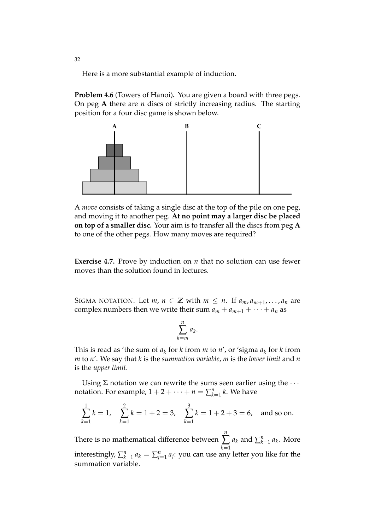Here is a more substantial example of induction.

**Problem 4.6** (Towers of Hanoi)**.** You are given a board with three pegs. On peg **A** there are *n* discs of strictly increasing radius. The starting position for a four disc game is shown below.



A *move* consists of taking a single disc at the top of the pile on one peg, and moving it to another peg. **At no point may a larger disc be placed on top of a smaller disc.** Your aim is to transfer all the discs from peg **A** to one of the other pegs. How many moves are required?

**Exercise 4.7.** Prove by induction on *n* that no solution can use fewer moves than the solution found in lectures.

SIGMA NOTATION. Let *m*,  $n \in \mathbb{Z}$  with  $m \leq n$ . If  $a_m, a_{m+1}, \ldots, a_n$  are complex numbers then we write their sum  $a_m + a_{m+1} + \cdots + a_n$  as

$$
\sum_{k=m}^{n} a_k.
$$

This is read as 'the sum of  $a_k$  for  $k$  from  $m$  to  $n'$ , or 'sigma  $a_k$  for  $k$  from *m* to *n*'. We say that *k* is the *summation variable*, *m* is the *lower limit* and *n* is the *upper limit*.

Using  $\Sigma$  notation we can rewrite the sums seen earlier using the  $\cdots$ notation. For example,  $1 + 2 + \cdots + n = \sum_{k=1}^{n}$  $_{k=1}^n k$ . We have

$$
\sum_{k=1}^{1} k = 1, \quad \sum_{k=1}^{2} k = 1 + 2 = 3, \quad \sum_{k=1}^{3} k = 1 + 2 + 3 = 6, \text{ and so on.}
$$

There is no mathematical difference between *n* ∑ *k*=1  $a_k$  and  $\sum_k^n$  $\binom{n}{k=1}$   $a_k$ . More interestingly,  $\sum_{k=1}^{n}$  $\sum_{k=1}^{n} a_k = \sum_{j=1}^{n} a_j$ : you can use any letter you like for the summation variable.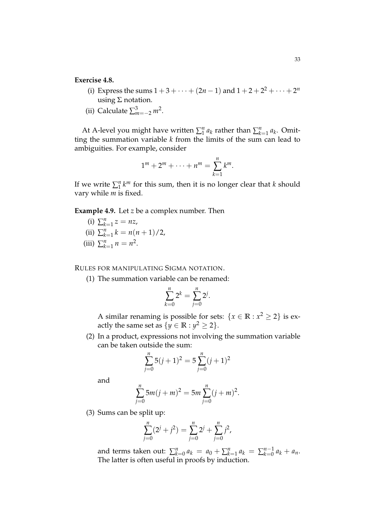# **Exercise 4.8.**

- (i) Express the sums  $1 + 3 + \cdots + (2n 1)$  and  $1 + 2 + 2^2 + \cdots + 2^n$ using  $\Sigma$  notation.
- (ii) Calculate  $\sum_{m=-2}^{3} m^2$ .

At A-level you might have written  $\sum_1^n a_k$  rather than  $\sum_k^n a_k$  $\binom{n}{k=1} a_k$ . Omitting the summation variable *k* from the limits of the sum can lead to ambiguities. For example, consider

$$
1^m + 2^m + \cdots + n^m = \sum_{k=1}^n k^m.
$$

If we write  $\sum_{1}^{n} k^{m}$  for this sum, then it is no longer clear that *k* should vary while *m* is fixed.

# **Example 4.9.** Let *z* be a complex number. Then

- $(i)$   $\sum_{k}^{n}$  $\sum_{k=1}^{n} z = nz$  $(i)$   $\sum_{k}^{n}$  $\binom{n}{k=1}$   $k = n(n+1)/2$ ,
- $(iii)$   $\sum_{k}^{n}$  $\sum_{k=1}^{n} n = n^2.$

RULES FOR MANIPULATING SIGMA NOTATION.

(1) The summation variable can be renamed:

$$
\sum_{k=0}^{n} 2^{k} = \sum_{j=0}^{n} 2^{j}.
$$

A similar renaming is possible for sets:  $\{x \in \mathbb{R} : x^2 \ge 2\}$  is exactly the same set as  $\{y \in \mathbb{R} : y^2 \ge 2\}.$ 

(2) In a product, expressions not involving the summation variable can be taken outside the sum:

$$
\sum_{j=0}^{n} 5(j+1)^2 = 5\sum_{j=0}^{n} (j+1)^2
$$

and

$$
\sum_{j=0}^{n} 5m(j+m)^{2} = 5m \sum_{j=0}^{n} (j+m)^{2}.
$$

(3) Sums can be split up:

$$
\sum_{j=0}^{n} (2^{j} + j^{2}) = \sum_{j=0}^{n} 2^{j} + \sum_{j=0}^{n} j^{2},
$$

and terms taken out:  $\sum_{k=1}^{n}$  $\sum_{k=0}^{n} a_k = a_0 + \sum_{k=0}^{n} a_k$  $\sum_{k=1}^{n} a_k = \sum_{k=0}^{n-1} a_k + a_n.$ The latter is often useful in proofs by induction.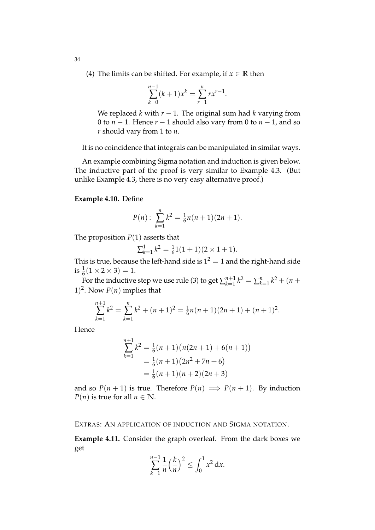(4) The limits can be shifted. For example, if  $x \in \mathbb{R}$  then

$$
\sum_{k=0}^{n-1} (k+1)x^{k} = \sum_{r=1}^{n} rx^{r-1}.
$$

We replaced *k* with  $r - 1$ . The original sum had *k* varying from 0 to *n* − 1. Hence *r* − 1 should also vary from 0 to *n* − 1, and so *r* should vary from 1 to *n*.

It is no coincidence that integrals can be manipulated in similar ways.

An example combining Sigma notation and induction is given below. The inductive part of the proof is very similar to Example 4.3. (But unlike Example 4.3, there is no very easy alternative proof.)

#### **Example 4.10.** Define

$$
P(n): \sum_{k=1}^{n} k^2 = \frac{1}{6}n(n+1)(2n+1).
$$

The proposition  $P(1)$  asserts that

$$
\sum_{k=1}^{1} k^2 = \frac{1}{6}1(1+1)(2 \times 1 + 1).
$$

This is true, because the left-hand side is  $1^2 = 1$  and the right-hand side is  $\frac{1}{6}(1 \times 2 \times 3) = 1$ .

For the inductive step we use rule (3) to get  $\sum_{k=1}^{n+1}$  $\sum_{k=1}^{n+1} k^2 = \sum_k^n$  $\binom{n}{k+1}$   $k^2 + (n +$ 1)<sup>2</sup>. Now  $P(n)$  implies that

$$
\sum_{k=1}^{n+1} k^2 = \sum_{k=1}^n k^2 + (n+1)^2 = \frac{1}{6}n(n+1)(2n+1) + (n+1)^2.
$$

Hence

$$
\sum_{k=1}^{n+1} k^2 = \frac{1}{6}(n+1)(n(2n+1) + 6(n+1))
$$
  
=  $\frac{1}{6}(n+1)(2n^2 + 7n + 6)$   
=  $\frac{1}{6}(n+1)(n+2)(2n+3)$ 

and so  $P(n + 1)$  is true. Therefore  $P(n) \implies P(n + 1)$ . By induction *P*(*n*) is true for all  $n \in \mathbb{N}$ .

EXTRAS: AN APPLICATION OF INDUCTION AND SIGMA NOTATION.

**Example 4.11.** Consider the graph overleaf. From the dark boxes we get

$$
\sum_{k=1}^{n-1} \frac{1}{n} \left(\frac{k}{n}\right)^2 \le \int_0^1 x^2 \, \mathrm{d}x.
$$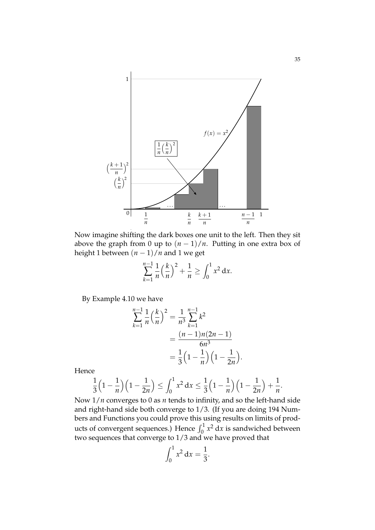

Now imagine shifting the dark boxes one unit to the left. Then they sit above the graph from 0 up to  $(n - 1)/n$ . Putting in one extra box of height 1 between  $(n - 1)/n$  and 1 we get

$$
\sum_{k=1}^{n-1} \frac{1}{n} \left(\frac{k}{n}\right)^2 + \frac{1}{n} \ge \int_0^1 x^2 \, \mathrm{d}x.
$$

By Example 4.10 we have

$$
\sum_{k=1}^{n-1} \frac{1}{n} \left(\frac{k}{n}\right)^2 = \frac{1}{n^3} \sum_{k=1}^{n-1} k^2
$$

$$
= \frac{(n-1)n(2n-1)}{6n^3}
$$

$$
= \frac{1}{3} \left(1 - \frac{1}{n}\right) \left(1 - \frac{1}{2n}\right)
$$

.

Hence

$$
\frac{1}{3}\Big(1-\frac{1}{n}\Big)\Big(1-\frac{1}{2n}\Big) \le \int_0^1 x^2 dx \le \frac{1}{3}\Big(1-\frac{1}{n}\Big)\Big(1-\frac{1}{2n}\Big) + \frac{1}{n}.
$$

Now 1/*n* converges to 0 as *n* tends to infinity, and so the left-hand side and right-hand side both converge to 1/3. (If you are doing 194 Numbers and Functions you could prove this using results on limits of products of convergent sequences.) Hence  $\int_0^1 x^2 dx$  is sandwiched between two sequences that converge to 1/3 and we have proved that

$$
\int_0^1 x^2 \, \mathrm{d}x = \frac{1}{3}.
$$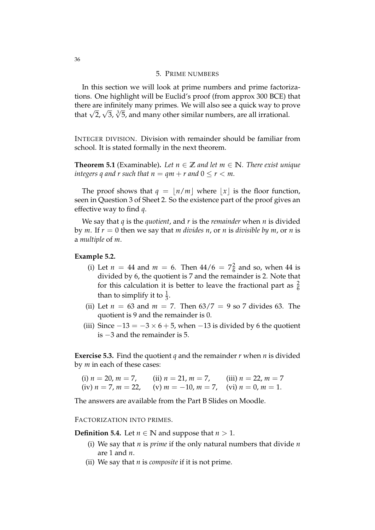#### 5. PRIME NUMBERS

In this section we will look at prime numbers and prime factorizations. One highlight will be Euclid's proof (from approx 300 BCE) that there are infinitely many primes. We will also see a quick way to prove that  $\sqrt{2}$ ,  $\sqrt{3}$ ,  $\sqrt[3]{5}$ , and many other similar numbers, are all irrational.

INTEGER DIVISION. Division with remainder should be familiar from school. It is stated formally in the next theorem.

**Theorem 5.1** (Examinable). Let  $n \in \mathbb{Z}$  and let  $m \in \mathbb{N}$ . There exist unique *integers q and r such that*  $n = qm + r$  *and*  $0 \le r < m$ .

The proof shows that  $q = \lfloor n/m \rfloor$  where  $\lfloor x \rfloor$  is the floor function, seen in Question 3 of Sheet 2. So the existence part of the proof gives an effective way to find *q*.

We say that *q* is the *quotient*, and *r* is the *remainder* when *n* is divided by *m*. If *r* = 0 then we say that *m divides n*, or *n* is *divisible by m*, or *n* is a *multiple* of *m*.

#### **Example 5.2.**

- (i) Let  $n = 44$  and  $m = 6$ . Then  $44/6 = 7\frac{2}{6}$  $\frac{2}{6}$  and so, when 44 is divided by 6, the quotient is 7 and the remainder is 2. Note that for this calculation it is better to leave the fractional part as  $\frac{2}{6}$ than to simplify it to  $\frac{1}{3}$ .
- (ii) Let  $n = 63$  and  $m = 7$ . Then  $63/7 = 9$  so 7 divides 63. The quotient is 9 and the remainder is 0.
- (iii) Since  $-13 = -3 \times 6 + 5$ , when  $-13$  is divided by 6 the quotient is −3 and the remainder is 5.

**Exercise 5.3.** Find the quotient *q* and the remainder *r* when *n* is divided by *m* in each of these cases:

(i) 
$$
n = 20
$$
,  $m = 7$ , (ii)  $n = 21$ ,  $m = 7$ , (iii)  $n = 22$ ,  $m = 7$   
(iv)  $n = 7$ ,  $m = 22$ , (v)  $m = -10$ ,  $m = 7$ , (vi)  $n = 0$ ,  $m = 1$ .

The answers are available from the Part B Slides on Moodle.

#### FACTORIZATION INTO PRIMES.

**Definition 5.4.** Let  $n \in \mathbb{N}$  and suppose that  $n > 1$ .

- (i) We say that *n* is *prime* if the only natural numbers that divide *n* are 1 and *n*.
- (ii) We say that *n* is *composite* if it is not prime.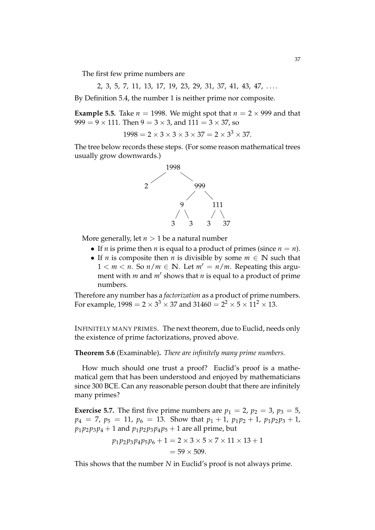The first few prime numbers are

2, 3, 5, 7, 11, 13, 17, 19, 23, 29, 31, 37, 41, 43, 47, ...

By Definition 5.4, the number 1 is neither prime nor composite.

**Example 5.5.** Take  $n = 1998$ . We might spot that  $n = 2 \times 999$  and that  $999 = 9 \times 111$ . Then  $9 = 3 \times 3$ , and  $111 = 3 \times 37$ , so

$$
1998 = 2 \times 3 \times 3 \times 3 \times 37 = 2 \times 3^3 \times 37.
$$

The tree below records these steps. (For some reason mathematical trees usually grow downwards.)



More generally, let  $n > 1$  be a natural number

- If *n* is prime then *n* is equal to a product of primes (since  $n = n$ ).
- If *n* is composite then *n* is divisible by some  $m \in \mathbb{N}$  such that  $1 < m < n$ . So  $n/m \in \mathbb{N}$ . Let  $m' = n/m$ . Repeating this argument with *m* and *m'* shows that *n* is equal to a product of prime numbers.

Therefore any number has a *factorization* as a product of prime numbers. For example,  $1998 = 2 \times 3^3 \times 37$  and  $31460 = 2^2 \times 5 \times 11^2 \times 13$ .

INFINITELY MANY PRIMES. The next theorem, due to Euclid, needs only the existence of prime factorizations, proved above.

**Theorem 5.6** (Examinable)**.** *There are infinitely many prime numbers.*

How much should one trust a proof? Euclid's proof is a mathematical gem that has been understood and enjoyed by mathematicians since 300 BCE. Can any reasonable person doubt that there are infinitely many primes?

**Exercise 5.7.** The first five prime numbers are  $p_1 = 2$ ,  $p_2 = 3$ ,  $p_3 = 5$ ,  $p_4 = 7$ ,  $p_5 = 11$ ,  $p_6 = 13$ . Show that  $p_1 + 1$ ,  $p_1p_2 + 1$ ,  $p_1p_2p_3 + 1$ ,  $p_1 p_2 p_3 p_4 + 1$  and  $p_1 p_2 p_3 p_4 p_5 + 1$  are all prime, but

$$
p_1 p_2 p_3 p_4 p_5 p_6 + 1 = 2 \times 3 \times 5 \times 7 \times 11 \times 13 + 1
$$
  
= 59 × 509.

This shows that the number *N* in Euclid's proof is not always prime.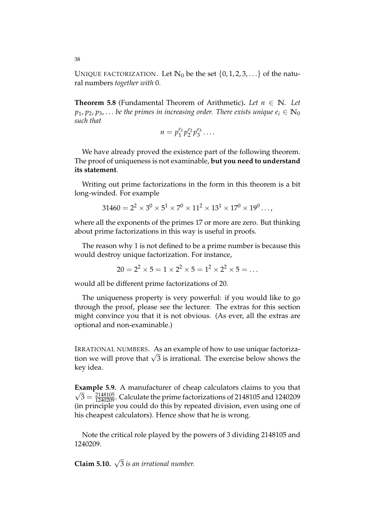UNIQUE FACTORIZATION. Let  $\mathbb{N}_0$  be the set  $\{0, 1, 2, 3, ...\}$  of the natural numbers *together with* 0.

**Theorem 5.8** (Fundamental Theorem of Arithmetic). Let  $n \in \mathbb{N}$ . Let  $p_1, p_2, p_3, \ldots$  *be the primes in increasing order. There exists unique*  $e_i \in \mathbb{N}_0$ *such that*

$$
n=p_1^{e_1}p_2^{e_2}p_3^{e_3}\ldots
$$

We have already proved the existence part of the following theorem. The proof of uniqueness is not examinable, **but you need to understand its statement**.

Writing out prime factorizations in the form in this theorem is a bit long-winded. For example

$$
31460 = 2^2 \times 3^0 \times 5^1 \times 7^0 \times 11^2 \times 13^1 \times 17^0 \times 19^0 \dots,
$$

where all the exponents of the primes 17 or more are zero. But thinking about prime factorizations in this way is useful in proofs.

The reason why 1 is not defined to be a prime number is because this would destroy unique factorization. For instance,

$$
20 = 22 \times 5 = 1 \times 22 \times 5 = 12 \times 22 \times 5 = \dots
$$

would all be different prime factorizations of 20.

The uniqueness property is very powerful: if you would like to go through the proof, please see the lecturer. The extras for this section might convince you that it is not obvious. (As ever, all the extras are optional and non-examinable.)

IRRATIONAL NUMBERS. As an example of how to use unique factorization we will prove that  $\sqrt{3}$  is irrational. The exercise below shows the key idea.

**Example 5.9.** A manufacturer of cheap calculators claims to you that  $\sqrt{3} = \frac{2148105}{1240209}$ . Calculate the prime factorizations of 2148105 and 1240209 (in principle you could do this by repeated division, even using one of his cheapest calculators). Hence show that he is wrong.

Note the critical role played by the powers of 3 dividing 2148105 and 1240209.

**Claim 5.10.**  $\sqrt{3}$  *is an irrational number.*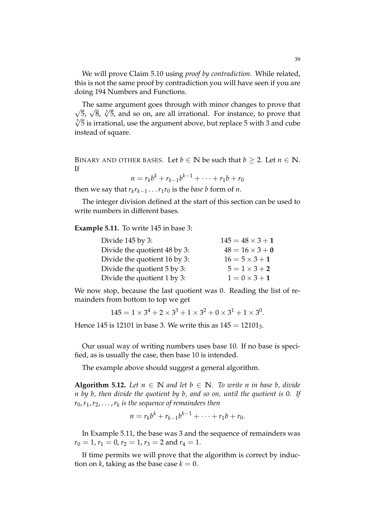We will prove Claim 5.10 using *proof by contradiction*. While related, this is not the same proof by contradiction you will have seen if you are doing 194 Numbers and Functions.

The same argument goes through with minor changes to prove that  $\sqrt{5}$ ,  $\sqrt{8}$ ,  $\sqrt[3]{5}$ , and so on, are all irrational. For instance, to prove that  $\sqrt[3]{5}$  is irrational, use the argument above, but replace 5 with 3 and cube instead of square.

BINARY AND OTHER BASES. Let *b*  $\in \mathbb{N}$  be such that *b*  $\geq 2$ . Let *n*  $\in \mathbb{N}$ . If

$$
n = r_k b^k + r_{k-1} b^{k-1} + \dots + r_1 b + r_0
$$

then we say that  $r_k r_{k-1} \ldots r_1 r_0$  is the *base b* form of *n*.

The integer division defined at the start of this section can be used to write numbers in different bases.

**Example 5.11.** To write 145 in base 3:

| Divide 145 by 3:             | $145 = 48 \times 3 + 1$ |
|------------------------------|-------------------------|
| Divide the quotient 48 by 3: | $48 = 16 \times 3 + 0$  |
| Divide the quotient 16 by 3: | $16 = 5 \times 3 + 1$   |
| Divide the quotient 5 by 3:  | $5 = 1 \times 3 + 2$    |
| Divide the quotient 1 by 3:  | $1 = 0 \times 3 + 1$    |
|                              |                         |

We now stop, because the last quotient was 0. Reading the list of remainders from bottom to top we get

$$
145 = 1 \times 3^4 + 2 \times 3^3 + 1 \times 3^2 + 0 \times 3^1 + 1 \times 3^0.
$$

Hence 145 is 12101 in base 3. We write this as  $145 = 12101_3$ .

Our usual way of writing numbers uses base 10. If no base is specified, as is usually the case, then base 10 is intended.

The example above should suggest a general algorithm.

**Algorithm 5.12.** Let  $n \in \mathbb{N}$  and let  $b \in \mathbb{N}$ . To write n in base b, divide *n by b, then divide the quotient by b, and so on, until the quotient is* 0*. If r*0,*r*1,*r*2, . . . ,*r<sup>k</sup> is the sequence of remainders then*

$$
n = r_k b^k + r_{k-1} b^{k-1} + \dots + r_1 b + r_0.
$$

In Example 5.11, the base was 3 and the sequence of remainders was  $r_0 = 1$ ,  $r_1 = 0$ ,  $r_2 = 1$ ,  $r_3 = 2$  and  $r_4 = 1$ .

If time permits we will prove that the algorithm is correct by induction on *k*, taking as the base case  $k = 0$ .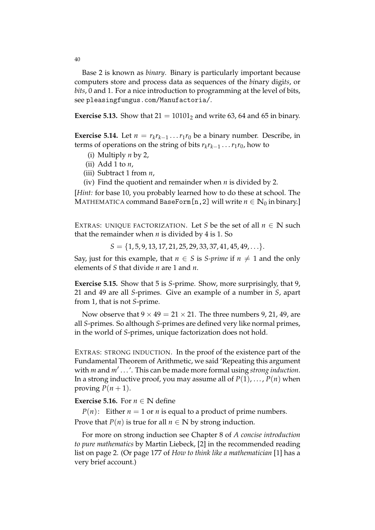Base 2 is known as *binary*. Binary is particularly important because computers store and process data as sequences of the *bi*nary digi*ts*, or *bits*, 0 and 1. For a nice introduction to programming at the level of bits, see pleasingfungus.com/Manufactoria/.

**Exercise 5.13.** Show that  $21 = 10101$  and write 63, 64 and 65 in binary.

**Exercise 5.14.** Let  $n = r_k r_{k-1} \dots r_1 r_0$  be a binary number. Describe, in terms of operations on the string of bits  $r_k r_{k-1} \ldots r_1 r_0$ , how to

- (i) Multiply *n* by 2,
- (ii) Add 1 to *n*,
- (iii) Subtract 1 from *n*,
- (iv) Find the quotient and remainder when *n* is divided by 2.

[*Hint:* for base 10, you probably learned how to do these at school. The MATHEMATICA command BaseForm[n, 2] will write  $n \in \mathbb{N}_0$  in binary.]

EXTRAS: UNIOUE FACTORIZATION. Let *S* be the set of all  $n \in \mathbb{N}$  such that the remainder when *n* is divided by 4 is 1. So

 $S = \{1, 5, 9, 13, 17, 21, 25, 29, 33, 37, 41, 45, 49, \ldots\}.$ 

Say, just for this example, that  $n \in S$  is *S-prime* if  $n \neq 1$  and the only elements of *S* that divide *n* are 1 and *n*.

**Exercise 5.15.** Show that 5 is *S*-prime. Show, more surprisingly, that 9, 21 and 49 are all *S*-primes. Give an example of a number in *S*, apart from 1, that is not *S*-prime.

Now observe that  $9 \times 49 = 21 \times 21$ . The three numbers 9, 21, 49, are all *S*-primes. So although *S*-primes are defined very like normal primes, in the world of *S*-primes, unique factorization does not hold.

EXTRAS: STRONG INDUCTION. In the proof of the existence part of the Fundamental Theorem of Arithmetic, we said 'Repeating this argument with *m* and *m*0 . . . '. This can be made more formal using *strong induction*. In a strong inductive proof, you may assume all of  $P(1)$ , ...,  $P(n)$  when proving  $P(n+1)$ .

## **Exercise 5.16.** For  $n \in \mathbb{N}$  define

*P*(*n*): Either *n* = 1 or *n* is equal to a product of prime numbers. Prove that  $P(n)$  is true for all  $n \in \mathbb{N}$  by strong induction.

For more on strong induction see Chapter 8 of *A concise introduction to pure mathematics* by Martin Liebeck, [2] in the recommended reading list on page 2. (Or page 177 of *How to think like a mathematician* [1] has a very brief account.)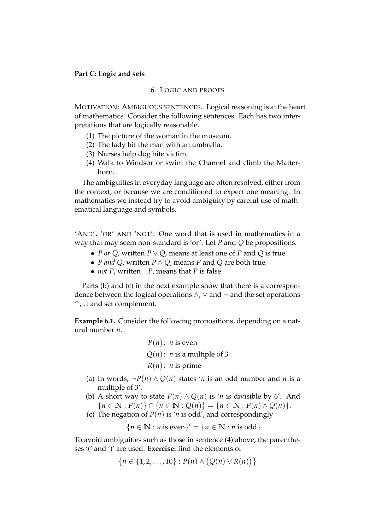# **Part C: Logic and sets**

# 6. LOGIC AND PROOFS

MOTIVATION: AMBIGUOUS SENTENCES. Logical reasoning is at the heart of mathematics. Consider the following sentences. Each has two interpretations that are logically reasonable.

- (1) The picture of the woman in the museum.
- (2) The lady hit the man with an umbrella.
- (3) Nurses help dog bite victim.
- (4) Walk to Windsor or swim the Channel and climb the Matterhorn.

The ambiguities in everyday language are often resolved, either from the context, or because we are conditioned to expect one meaning. In mathematics we instead try to avoid ambiguity by careful use of mathematical language and symbols.

'AND', 'OR' AND 'NOT'. One word that is used in mathematics in a way that may seem non-standard is 'or'. Let *P* and *Q* be propositions.

- *P or Q*, written *P* ∨ *Q*, means at least one of *P* and *Q* is true.
- *P and Q*, written *P* ∧ *Q*, means *P* and *Q* are both true.
- *not P*, written  $\neg P$ , means that *P* is false.

Parts (b) and (c) in the next example show that there is a correspondence between the logical operations  $\land$ ,  $\lor$  and  $\neg$  and the set operations ∩, ∪ and set complement.

**Example 6.1.** Consider the following propositions, depending on a natural number *n*.

*P*(*n*): *n* is even  

$$
Q(n)
$$
: *n* is a multiple of 3  
*R*(*n*): *n* is prime

- (a) In words,  $\neg P(n) \land Q(n)$  states '*n* is an odd number and *n* is a multiple of 3'.
- (b) A short way to state  $P(n) \wedge Q(n)$  is '*n* is divisible by 6'. And  ${n \in \mathbb{N} : P(n) \cap {n \in \mathbb{N} : Q(n)} = {n \in \mathbb{N} : P(n) \wedge Q(n)}.$
- (c) The negation of  $P(n)$  is '*n* is odd', and correspondingly

 ${n \in \mathbb{N} : n \text{ is even}}' = {n \in \mathbb{N} : n \text{ is odd}}.$ 

To avoid ambiguities such as those in sentence (4) above, the parentheses '(' and ')' are used. **Exercise:** find the elements of

 $\{n \in \{1, 2, ..., 10\} : P(n) \wedge (Q(n) \vee R(n))\}$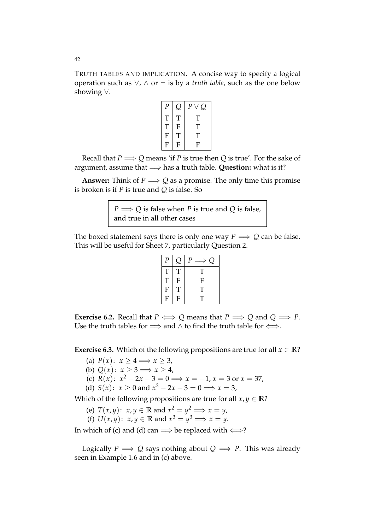TRUTH TABLES AND IMPLICATION. A concise way to specify a logical operation such as ∨, ∧ or ¬ is by a *truth table*, such as the one below showing ∨.

| р           |                           | $\boldsymbol{P}$ |
|-------------|---------------------------|------------------|
| T           | T                         | Τ                |
| T           | $\boldsymbol{\mathrm{F}}$ | Τ                |
| $\mathbf F$ | T                         | Т                |
| F           | F                         | F                |

Recall that  $P \implies Q$  means 'if *P* is true then *Q* is true'. For the sake of argument, assume that =⇒ has a truth table. **Question:** what is it?

**Answer:** Think of  $P \implies Q$  as a promise. The only time this promise is broken is if *P* is true and *Q* is false. So

> *P*  $\Longrightarrow$  *Q* is false when *P* is true and *Q* is false, and true in all other cases

The boxed statement says there is only one way  $P \implies Q$  can be false. This will be useful for Sheet 7, particularly Question 2.

| Р           |             | $\overline{P}$ |
|-------------|-------------|----------------|
| T           | T           | T              |
| $\mathbf T$ | $\mathbf F$ | F              |
| F           | T           | T              |
| ${\bf F}$   | F           | T              |

**Exercise 6.2.** Recall that  $P \iff Q$  means that  $P \implies Q$  and  $Q \implies P$ . Use the truth tables for  $\Longrightarrow$  and  $\wedge$  to find the truth table for  $\Longleftrightarrow$ .

**Exercise 6.3.** Which of the following propositions are true for all  $x \in \mathbb{R}$ ?

- (a)  $P(x)$ :  $x \ge 4 \Longrightarrow x \ge 3$ ,
- (b)  $Q(x)$ :  $x \ge 3 \implies x \ge 4$ ,
- (c)  $R(x)$ :  $x^2 2x 3 = 0 \implies x = -1, x = 3$  or  $x = 37$ ,
- (d)  $S(x)$ :  $x \ge 0$  and  $x^2 2x 3 = 0 \implies x = 3$ ,

Which of the following propositions are true for all  $x, y \in \mathbb{R}$ ?

- (e)  $T(x, y)$ :  $x, y \in \mathbb{R}$  and  $x^2 = y^2 \implies x = y$ ,
- (f)  $U(x, y)$ :  $x, y \in \mathbb{R}$  and  $x^3 = y^3 \implies x = y$ .

In which of (c) and (d) can  $\implies$  be replaced with  $\Longleftrightarrow$ ?

Logically  $P \implies Q$  says nothing about  $Q \implies P$ . This was already seen in Example 1.6 and in (c) above.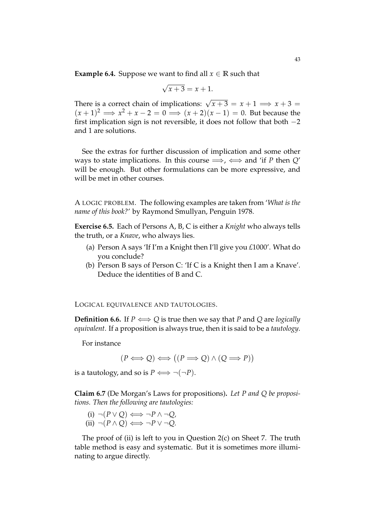**Example 6.4.** Suppose we want to find all  $x \in \mathbb{R}$  such that

$$
\sqrt{x+3} = x+1.
$$

There is a correct chain of implications:  $\sqrt{x+3} = x+1 \implies x+3 =$  $(x+1)^2 \implies x^2 + x - 2 = 0 \implies (x+2)(x-1) = 0$ . But because the first implication sign is not reversible, it does not follow that both  $-2$ and 1 are solutions.

See the extras for further discussion of implication and some other ways to state implications. In this course  $\implies$ ,  $\iff$  and 'if *P* then *Q'* will be enough. But other formulations can be more expressive, and will be met in other courses.

A LOGIC PROBLEM. The following examples are taken from '*What is the name of this book?*' by Raymond Smullyan, Penguin 1978.

**Exercise 6.5.** Each of Persons A, B, C is either a *Knight* who always tells the truth, or a *Knave*, who always lies.

- (a) Person A says 'If I'm a Knight then I'll give you *£*1000'. What do you conclude?
- (b) Person B says of Person C: 'If C is a Knight then I am a Knave'. Deduce the identities of B and C.

LOGICAL EQUIVALENCE AND TAUTOLOGIES.

**Definition 6.6.** If  $P \iff Q$  is true then we say that *P* and *Q* are *logically equivalent*. If a proposition is always true, then it is said to be a *tautology*.

For instance

$$
(P \Longleftrightarrow Q) \Longleftrightarrow ((P \Longrightarrow Q) \land (Q \Longrightarrow P))
$$

is a tautology, and so is  $P \iff \neg(\neg P)$ .

**Claim 6.7** (De Morgan's Laws for propositions)**.** *Let P and Q be propositions. Then the following are tautologies:*

(i)  $\neg (P \lor Q) \Longleftrightarrow \neg P \land \neg Q,$  $(ii) \neg (P \land Q) \Longleftrightarrow \neg P \lor \neg Q.$ 

The proof of (ii) is left to you in Question 2(c) on Sheet 7. The truth table method is easy and systematic. But it is sometimes more illuminating to argue directly.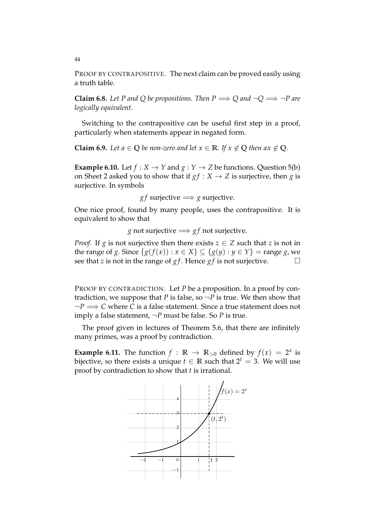PROOF BY CONTRAPOSITIVE. The next claim can be proved easily using a truth table.

**Claim 6.8.** Let P and Q be propositions. Then  $P \implies Q$  and  $\neg Q \implies \neg P$  are *logically equivalent.*

Switching to the contrapositive can be useful first step in a proof, particularly when statements appear in negated form.

**Claim 6.9.** *Let*  $a \in \mathbb{Q}$  *be non-zero and let*  $x \in \mathbb{R}$ *. If*  $x \notin \mathbb{Q}$  *then*  $ax \notin \mathbb{Q}$ *.* 

**Example 6.10.** Let  $f : X \to Y$  and  $g : Y \to Z$  be functions. Question 5(b) on Sheet 2 asked you to show that if  $gf : X \rightarrow Z$  is surjective, then *g* is surjective. In symbols

*gf* surjective  $\Longrightarrow$  *g* surjective.

One nice proof, found by many people, uses the contrapositive. It is equivalent to show that

*g* not surjective  $\Rightarrow$  *gf* not surjective.

*Proof.* If *g* is not surjective then there exists  $z \in Z$  such that *z* is not in the range of *g*. Since {*g*(*f*(*x*)) : *x* ∈ *X*} ⊆ {*g*(*y*) : *y* ∈ *Y*} = range *g*, we see that *z* is not in the range of *g f*. Hence *g f* is not suriective. □ see that *z* is not in the range of *g f* . Hence *g f* is not surjective.

PROOF BY CONTRADICTION. Let *P* be a proposition. In a proof by contradiction, we suppose that *P* is false, so  $\neg P$  is true. We then show that ¬*P* =⇒ *C* where *C* is a false statement. Since a true statement does not imply a false statement,  $\neg P$  must be false. So *P* is true.

The proof given in lectures of Theorem 5.6, that there are infinitely many primes, was a proof by contradiction.

**Example 6.11.** The function  $f : \mathbb{R} \to \mathbb{R}_{>0}$  defined by  $f(x) = 2^x$  is bijective, so there exists a unique  $t \in \mathbb{R}$  such that  $2^t = 3$ . We will use proof by contradiction to show that *t* is irrational.

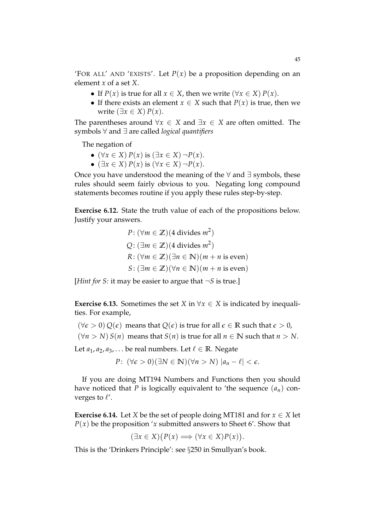'FOR ALL' AND 'EXISTS'. Let  $P(x)$  be a proposition depending on an element *x* of a set *X*.

- If  $P(x)$  is true for all  $x \in X$ , then we write  $(\forall x \in X) P(x)$ .
- If there exists an element  $x \in X$  such that  $P(x)$  is true, then we write  $(\exists x \in X) P(x)$ .

The parentheses around  $\forall x \in X$  and  $\exists x \in X$  are often omitted. The symbols ∀ and ∃ are called *logical quantifiers*

The negation of

- (∀*x* ∈ *X*) *P*(*x*) is (∃*x* ∈ *X*) ¬*P*(*x*).
- (∃*x* ∈ *X*) *P*(*x*) is (∀*x* ∈ *X*) ¬*P*(*x*).

Once you have understood the meaning of the ∀ and ∃ symbols, these rules should seem fairly obvious to you. Negating long compound statements becomes routine if you apply these rules step-by-step.

**Exercise 6.12.** State the truth value of each of the propositions below. Justify your answers.

$$
P: (\forall m \in \mathbb{Z})(4 \text{ divides } m^2)
$$
  
 
$$
Q: (\exists m \in \mathbb{Z})(4 \text{ divides } m^2)
$$
  
 
$$
R: (\forall m \in \mathbb{Z})(\exists n \in \mathbb{N})(m + n \text{ is even})
$$
  
 
$$
S: (\exists m \in \mathbb{Z})(\forall n \in \mathbb{N})(m + n \text{ is even})
$$

[*Hint for S:* it may be easier to argue that ¬*S* is true.]

**Exercise 6.13.** Sometimes the set *X* in  $\forall x \in X$  is indicated by inequalities. For example,

 $(\forall \epsilon > 0) Q(\epsilon)$  means that  $Q(\epsilon)$  is true for all  $\epsilon \in \mathbb{R}$  such that  $\epsilon > 0$ ,

 $(\forall n > N) S(n)$  means that  $S(n)$  is true for all  $n \in \mathbb{N}$  such that  $n > N$ .

Let  $a_1, a_2, a_3, \ldots$  be real numbers. Let  $\ell \in \mathbb{R}$ . Negate

$$
P: (\forall \epsilon > 0)(\exists N \in \mathbb{N})(\forall n > N) |a_n - \ell| < \epsilon.
$$

If you are doing MT194 Numbers and Functions then you should have noticed that *P* is logically equivalent to 'the sequence  $(a_n)$  converges to  $\ell'$ .

**Exercise 6.14.** Let *X* be the set of people doing MT181 and for  $x \in X$  let  $P(x)$  be the proposition '*x* submitted answers to Sheet 6'. Show that

$$
(\exists x \in X) (P(x) \Longrightarrow (\forall x \in X) P(x)).
$$

This is the 'Drinkers Principle': see §250 in Smullyan's book.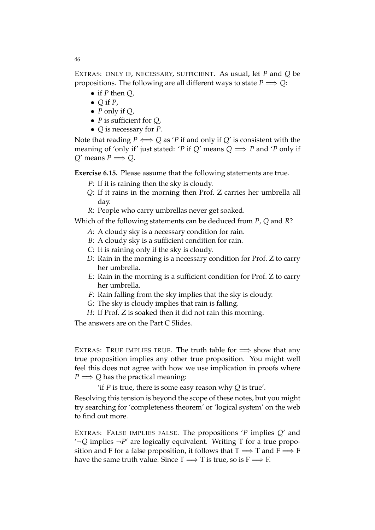EXTRAS: ONLY IF, NECESSARY, SUFFICIENT. As usual, let *P* and *Q* be propositions. The following are all different ways to state  $P \Longrightarrow Q$ :

- if *P* then *Q*,
- $\bullet$  Q if *P*,
- *P* only if *Q*,
- *P* is sufficient for *Q*,
- *Q* is necessary for *P*.

Note that reading  $P \iff Q$  as 'P if and only if  $Q'$  is consistent with the meaning of 'only if' just stated: '*P* if *Q'* means  $Q \implies P$  and '*P* only if  $Q'$  means  $P \Longrightarrow Q$ .

**Exercise 6.15.** Please assume that the following statements are true.

- *P*: If it is raining then the sky is cloudy.
- *Q*: If it rains in the morning then Prof. Z carries her umbrella all day.
- *R*: People who carry umbrellas never get soaked.

Which of the following statements can be deduced from *P*, *Q* and *R*?

- *A*: A cloudy sky is a necessary condition for rain.
- *B*: A cloudy sky is a sufficient condition for rain.
- *C*: It is raining only if the sky is cloudy.
- *D*: Rain in the morning is a necessary condition for Prof. Z to carry her umbrella.
- *E*: Rain in the morning is a sufficient condition for Prof. Z to carry her umbrella.
- *F*: Rain falling from the sky implies that the sky is cloudy.
- *G*: The sky is cloudy implies that rain is falling.
- *H*: If Prof. Z is soaked then it did not rain this morning.

The answers are on the Part C Slides.

EXTRAS: TRUE IMPLIES TRUE. The truth table for  $\implies$  show that any true proposition implies any other true proposition. You might well feel this does not agree with how we use implication in proofs where  $P \Longrightarrow Q$  has the practical meaning:

'if *P* is true, there is some easy reason why *Q* is true'.

Resolving this tension is beyond the scope of these notes, but you might try searching for 'completeness theorem' or 'logical system' on the web to find out more.

EXTRAS: FALSE IMPLIES FALSE. The propositions '*P* implies *Q*' and  $\rightarrow Q$  implies  $\neg P'$  are logically equivalent. Writing T for a true proposition and F for a false proposition, it follows that  $T \implies T$  and  $F \implies F$ have the same truth value. Since  $T \Longrightarrow T$  is true, so is  $F \Longrightarrow F$ .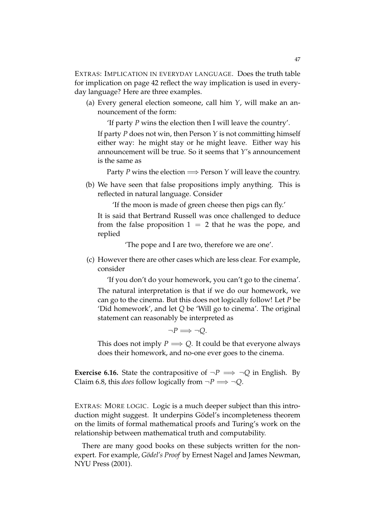EXTRAS: IMPLICATION IN EVERYDAY LANGUAGE. Does the truth table for implication on page 42 reflect the way implication is used in everyday language? Here are three examples.

(a) Every general election someone, call him *Y*, will make an announcement of the form:

'If party *P* wins the election then I will leave the country'.

If party *P* does not win, then Person *Y* is not committing himself either way: he might stay or he might leave. Either way his announcement will be true. So it seems that *Y*'s announcement is the same as

Party *P* wins the election  $\Longrightarrow$  Person *Y* will leave the country.

(b) We have seen that false propositions imply anything. This is reflected in natural language. Consider

'If the moon is made of green cheese then pigs can fly.'

It is said that Bertrand Russell was once challenged to deduce from the false proposition  $1 = 2$  that he was the pope, and replied

'The pope and I are two, therefore we are one'.

(c) However there are other cases which are less clear. For example, consider

'If you don't do your homework, you can't go to the cinema'.

The natural interpretation is that if we do our homework, we can go to the cinema. But this does not logically follow! Let *P* be 'Did homework', and let *Q* be 'Will go to cinema'. The original statement can reasonably be interpreted as

 $\neg P \Longrightarrow \neg O$ .

This does not imply  $P \implies Q$ . It could be that everyone always does their homework, and no-one ever goes to the cinema.

**Exercise 6.16.** State the contrapositive of  $\neg P \implies \neg Q$  in English. By Claim 6.8, this *does* follow logically from  $\neg P \implies \neg Q$ .

EXTRAS: MORE LOGIC. Logic is a much deeper subject than this introduction might suggest. It underpins Gödel's incompleteness theorem on the limits of formal mathematical proofs and Turing's work on the relationship between mathematical truth and computability.

There are many good books on these subjects written for the nonexpert. For example, *Gödel's Proof* by Ernest Nagel and James Newman, NYU Press (2001).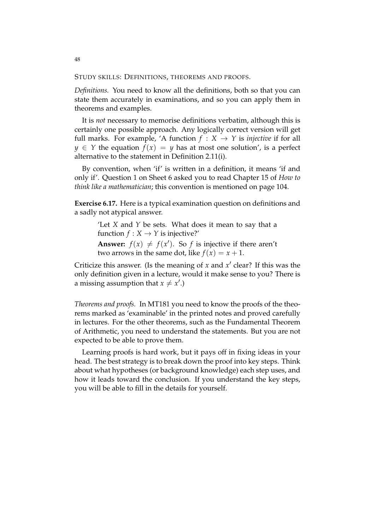STUDY SKILLS: DEFINITIONS, THEOREMS AND PROOFS.

*Definitions.* You need to know all the definitions, both so that you can state them accurately in examinations, and so you can apply them in theorems and examples.

It is *not* necessary to memorise definitions verbatim, although this is certainly one possible approach. Any logically correct version will get full marks. For example, 'A function  $f : X \rightarrow Y$  is *injective* if for all *y*  $\in$  *Y* the equation *f*(*x*) = *y* has at most one solution', is a perfect alternative to the statement in Definition 2.11(i).

By convention, when 'if' is written in a definition, it means 'if and only if'. Question 1 on Sheet 6 asked you to read Chapter 15 of *How to think like a mathematician*; this convention is mentioned on page 104.

**Exercise 6.17.** Here is a typical examination question on definitions and a sadly not atypical answer.

> 'Let *X* and *Y* be sets. What does it mean to say that a function  $f: X \to Y$  is injective?'

> **Answer:**  $f(x) \neq f(x')$ . So *f* is injective if there aren't two arrows in the same dot, like  $f(x) = x + 1$ .

Criticize this answer. (Is the meaning of *x* and *x'* clear? If this was the only definition given in a lecture, would it make sense to you? There is a missing assumption that  $x \neq x'.$ 

*Theorems and proofs.* In MT181 you need to know the proofs of the theorems marked as 'examinable' in the printed notes and proved carefully in lectures. For the other theorems, such as the Fundamental Theorem of Arithmetic, you need to understand the statements. But you are not expected to be able to prove them.

Learning proofs is hard work, but it pays off in fixing ideas in your head. The best strategy is to break down the proof into key steps. Think about what hypotheses (or background knowledge) each step uses, and how it leads toward the conclusion. If you understand the key steps, you will be able to fill in the details for yourself.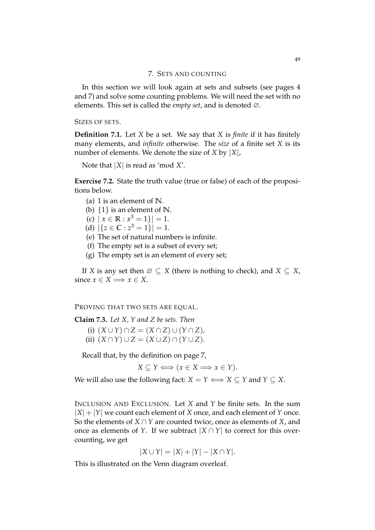### 7. SETS AND COUNTING

In this section we will look again at sets and subsets (see pages 4 and 7) and solve some counting problems. We will need the set with no elements. This set is called the *empty set*, and is denoted ∅.

SIZES OF SETS.

**Definition 7.1.** Let *X* be a set. We say that *X* is *finite* if it has finitely many elements, and *infinite* otherwise. The *size* of a finite set *X* is its number of elements. We denote the size of *X* by |*X*|,

Note that |*X*| is read as 'mod *X*'.

**Exercise 7.2.** State the truth value (true or false) of each of the propositions below.

(a) 1 is an element of **N**.

(b) {1} is an element of **N**.

- (c)  $|x \in \mathbb{R} : x^3 = 1| = 1.$
- (d)  $|\{z \in \mathbb{C} : z^3 = 1\}| = 1.$
- (e) The set of natural numbers is infinite.
- (f) The empty set is a subset of every set;
- (g) The empty set is an element of every set;

If *X* is any set then  $\emptyset \subseteq X$  (there is nothing to check), and  $X \subseteq X$ , since  $x \in X \Longrightarrow x \in X$ .

PROVING THAT TWO SETS ARE EQUAL.

**Claim 7.3.** *Let X, Y and Z be sets. Then*

 $(K \cup Y) \cap Z = (X \cap Z) \cup (Y \cap Z)$ (ii)  $(X \cap Y) \cup Z = (X \cup Z) \cap (Y \cup Z)$ .

Recall that, by the definition on page 7,

 $X \subseteq Y \Longleftrightarrow (x \in X \Longrightarrow x \in Y).$ 

We will also use the following fact:  $X = Y \iff X \subseteq Y$  and  $Y \subseteq X$ .

INCLUSION AND EXCLUSION. Let *X* and *Y* be finite sets. In the sum  $|X| + |Y|$  we count each element of *X* once, and each element of *Y* once. So the elements of *X* ∩ *Y* are counted twice, once as elements of *X*, and once as elements of *Y*. If we subtract  $|X \cap Y|$  to correct for this overcounting, we get

$$
|X \cup Y| = |X| + |Y| - |X \cap Y|.
$$

This is illustrated on the Venn diagram overleaf.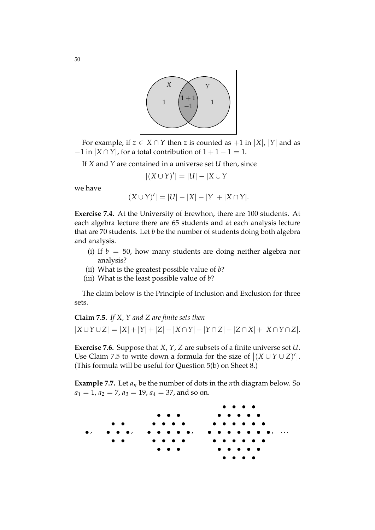

For example, if  $z \in X \cap Y$  then *z* is counted as  $+1$  in  $|X|$ ,  $|Y|$  and as  $-1$  in  $|X \cap Y|$ , for a total contribution of  $1 + 1 - 1 = 1$ .

If *X* and *Y* are contained in a universe set *U* then, since

$$
|(X \cup Y)'| = |U| - |X \cup Y|
$$

we have

$$
|(X \cup Y)'| = |U| - |X| - |Y| + |X \cap Y|.
$$

**Exercise 7.4.** At the University of Erewhon, there are 100 students. At each algebra lecture there are 65 students and at each analysis lecture that are 70 students. Let *b* be the number of students doing both algebra and analysis.

- (i) If  $b = 50$ , how many students are doing neither algebra nor analysis?
- (ii) What is the greatest possible value of *b*?
- (iii) What is the least possible value of *b*?

The claim below is the Principle of Inclusion and Exclusion for three sets.

**Claim 7.5.** *If X, Y and Z are finite sets then*  $|X \cup Y \cup Z| = |X| + |Y| + |Z| - |X \cap Y| - |Y \cap Z| - |Z \cap X| + |X \cap Y \cap Z|.$ 

**Exercise 7.6.** Suppose that *X*, *Y*, *Z* are subsets of a finite universe set *U*. Use Claim 7.5 to write down a formula for the size of  $|(X \cup Y \cup Z)'|$ . (This formula will be useful for Question 5(b) on Sheet 8.)

**Example 7.7.** Let  $a_n$  be the number of dots in the *n*th diagram below. So  $a_1 = 1$ ,  $a_2 = 7$ ,  $a_3 = 19$ ,  $a_4 = 37$ , and so on.

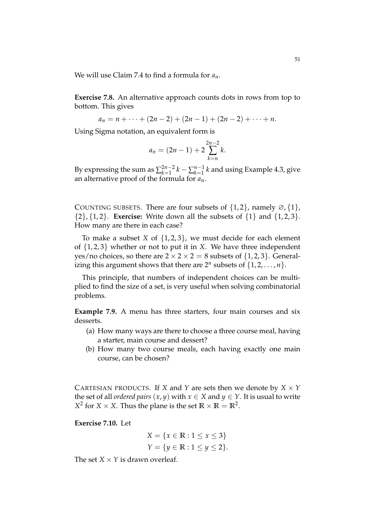We will use Claim 7.4 to find a formula for *an*.

**Exercise 7.8.** An alternative approach counts dots in rows from top to bottom. This gives

$$
a_n = n + \cdots + (2n-2) + (2n-1) + (2n-2) + \cdots + n.
$$

Using Sigma notation, an equivalent form is

$$
a_n = (2n - 1) + 2 \sum_{k=n}^{2n-2} k.
$$

By expressing the sum as  $\sum_{k=1}^{2n-2} k - \sum_{k=1}^{n-1} k$  and using Example 4.3, give an alternative proof of the formula for *an*.

COUNTING SUBSETS. There are four subsets of  $\{1,2\}$ , namely  $\emptyset$ ,  $\{1\}$ ,  $\{2\}, \{1, 2\}.$  **Exercise:** Write down all the subsets of  $\{1\}$  and  $\{1, 2, 3\}.$ How many are there in each case?

To make a subset *X* of {1, 2, 3}, we must decide for each element of {1, 2, 3} whether or not to put it in *X*. We have three independent yes/no choices, so there are  $2 \times 2 \times 2 = 8$  subsets of  $\{1, 2, 3\}$ . Generalizing this argument shows that there are  $2^n$  subsets of  $\{1, 2, \ldots, n\}$ .

This principle, that numbers of independent choices can be multiplied to find the size of a set, is very useful when solving combinatorial problems.

**Example 7.9.** A menu has three starters, four main courses and six desserts.

- (a) How many ways are there to choose a three course meal, having a starter, main course and dessert?
- (b) How many two course meals, each having exactly one main course, can be chosen?

CARTESIAN PRODUCTS. If *X* and *Y* are sets then we denote by  $X \times Y$ the set of all *ordered pairs*  $(x, y)$  with  $x \in X$  and  $y \in Y$ . It is usual to write  $X^2$  for *X* × *X*. Thus the plane is the set  $\mathbb{R} \times \mathbb{R} = \mathbb{R}^2$ .

**Exercise 7.10.** Let

$$
X = \{x \in \mathbb{R} : 1 \le x \le 3\}
$$
  

$$
Y = \{y \in \mathbb{R} : 1 \le y \le 2\}.
$$

The set  $X \times Y$  is drawn overleaf.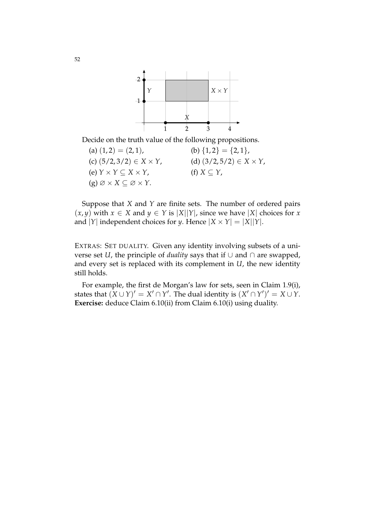

Decide on the truth value of the following propositions.

(a)  $(1, 2) = (2, 1)$ , (b)  $\{1, 2\} = \{2, 1\}$ , (c)  $(5/2, 3/2) \in X \times Y$ , (d)  $(3/2, 5/2) \in X \times Y$ , (e)  $Y \times Y \subseteq X \times Y$ , (f)  $X \subseteq Y$ ,  $(g) \varnothing \times X \subseteq \varnothing \times Y$ .

Suppose that *X* and *Y* are finite sets. The number of ordered pairs  $(x, y)$  with *x* ∈ *X* and *y* ∈ *Y* is |*X*||*Y*|, since we have |*X*| choices for *x* and  $|Y|$  independent choices for *y*. Hence  $|X \times Y| = |X||Y|$ .

EXTRAS: SET DUALITY. Given any identity involving subsets of a universe set *U*, the principle of *duality* says that if ∪ and ∩ are swapped, and every set is replaced with its complement in *U*, the new identity still holds.

For example, the first de Morgan's law for sets, seen in Claim 1.9(i), states that  $(X \cup Y)' = X' \cap Y'$ . The dual identity is  $(X' \cap Y')' = X \cup Y$ . **Exercise:** deduce Claim 6.10(ii) from Claim 6.10(i) using duality.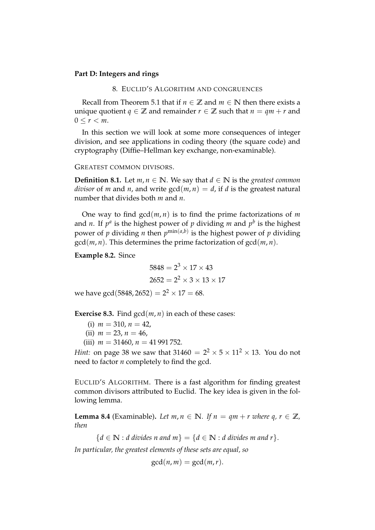# **Part D: Integers and rings**

# 8. EUCLID'S ALGORITHM AND CONGRUENCES

Recall from Theorem 5.1 that if  $n \in \mathbb{Z}$  and  $m \in \mathbb{N}$  then there exists a unique quotient *q*  $\in \mathbb{Z}$  and remainder *r*  $\in \mathbb{Z}$  such that *n* = *qm* + *r* and  $0 \leq r < m$ .

In this section we will look at some more consequences of integer division, and see applications in coding theory (the square code) and cryptography (Diffie–Hellman key exchange, non-examinable).

#### GREATEST COMMON DIVISORS.

**Definition 8.1.** Let  $m, n \in \mathbb{N}$ . We say that  $d \in \mathbb{N}$  is the *greatest common divisor* of *m* and *n*, and write  $gcd(m, n) = d$ , if *d* is the greatest natural number that divides both *m* and *n*.

One way to find  $gcd(m, n)$  is to find the prime factorizations of *m* and *n*. If  $p^a$  is the highest power of  $p$  dividing *m* and  $p^b$  is the highest power of *p* dividing *n* then *p* min(*a*,*b*) is the highest power of *p* dividing  $gcd(m, n)$ . This determines the prime factorization of  $gcd(m, n)$ .

**Example 8.2.** Since

$$
5848 = 2^3 \times 17 \times 43
$$
  

$$
2652 = 2^2 \times 3 \times 13 \times 17
$$

we have  $\gcd(5848, 2652) = 2^2 \times 17 = 68$ .

**Exercise 8.3.** Find  $gcd(m, n)$  in each of these cases:

- (i)  $m = 310$ ,  $n = 42$ ,
- $(ii)$  *m* = 23, *n* = 46,
- (iii)  $m = 31460$ ,  $n = 41991752$ .

*Hint:* on page 38 we saw that  $31460 = 2^2 \times 5 \times 11^2 \times 13$ . You do not need to factor *n* completely to find the gcd.

EUCLID'S ALGORITHM. There is a fast algorithm for finding greatest common divisors attributed to Euclid. The key idea is given in the following lemma.

**Lemma 8.4** (Examinable). Let  $m, n \in \mathbb{N}$ . If  $n = qm + r$  where  $q, r \in \mathbb{Z}$ , *then*

 ${d \in \mathbb{N} : d \text{ divides } n \text{ and } m} = {d \in \mathbb{N} : d \text{ divides } m \text{ and } r}.$ 

*In particular, the greatest elements of these sets are equal, so*

 $gcd(n, m) = gcd(m, r).$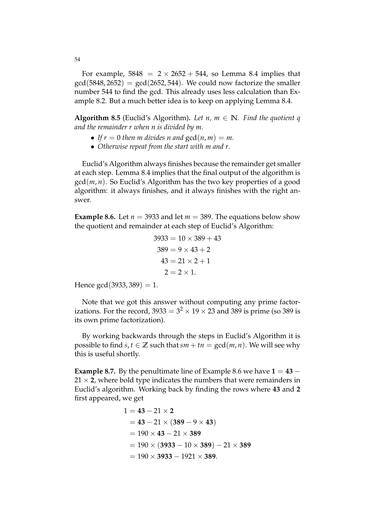For example,  $5848 = 2 \times 2652 + 544$ , so Lemma 8.4 implies that  $gcd(5848, 2652) = gcd(2652, 544)$ . We could now factorize the smaller number 544 to find the gcd. This already uses less calculation than Example 8.2. But a much better idea is to keep on applying Lemma 8.4.

**Algorithm 8.5** (Euclid's Algorithm). Let  $n, m \in \mathbb{N}$ . Find the quotient q *and the remainder r when n is divided by m.*

- If  $r = 0$  then m divides n and  $gcd(n, m) = m$ .
- *Otherwise repeat from the start with m and r.*

Euclid's Algorithm always finishes because the remainder get smaller at each step. Lemma 8.4 implies that the final output of the algorithm is gcd(*m*, *n*). So Euclid's Algorithm has the two key properties of a good algorithm: it always finishes, and it always finishes with the right answer.

**Example 8.6.** Let  $n = 3933$  and let  $m = 389$ . The equations below show the quotient and remainder at each step of Euclid's Algorithm:

$$
3933 = 10 \times 389 + 43
$$
  
\n
$$
389 = 9 \times 43 + 2
$$
  
\n
$$
43 = 21 \times 2 + 1
$$
  
\n
$$
2 = 2 \times 1.
$$

Hence  $gcd(3933, 389) = 1$ .

Note that we got this answer without computing any prime factorizations. For the record, 3933 =  $3^2 \times 19 \times 23$  and 389 is prime (so 389 is its own prime factorization).

By working backwards through the steps in Euclid's Algorithm it is possible to find *s*,  $t \in \mathbb{Z}$  such that  $sm + tn = \gcd(m, n)$ . We will see why this is useful shortly.

**Example 8.7.** By the penultimate line of Example 8.6 we have  $1 = 43 - 1$  $21 \times 2$ , where bold type indicates the numbers that were remainders in Euclid's algorithm. Working back by finding the rows where **43** and **2** first appeared, we get

$$
1 = 43 - 21 \times 2
$$
  
= 43 - 21 \times (389 - 9 \times 43)  
= 190 \times 43 - 21 \times 389  
= 190 \times (3933 - 10 \times 389) - 21 \times 389  
= 190 \times 3933 - 1921 \times 389.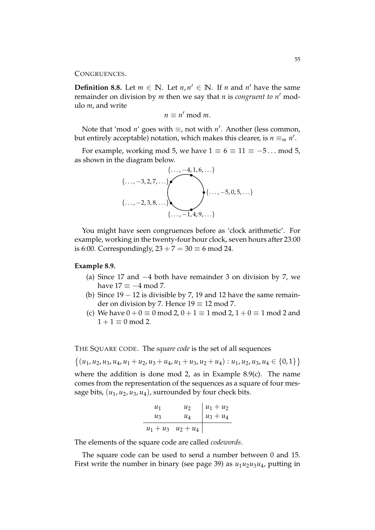# CONGRUENCES.

**Definition 8.8.** Let  $m \in \mathbb{N}$ . Let  $n, n' \in \mathbb{N}$ . If  $n$  and  $n'$  have the same remainder on division by *m* then we say that *n* is *congruent to n'* modulo *m*, and write

$$
n \equiv n' \bmod m.
$$

Note that 'mod *n'* goes with  $\equiv$ , not with *n'*. Another (less common, but entirely acceptable) notation, which makes this clearer, is  $n \equiv_m n'$ .

For example, working mod 5, we have  $1 \equiv 6 \equiv 11 \equiv -5...$  mod 5, as shown in the diagram below.



You might have seen congruences before as 'clock arithmetic'. For example, working in the twenty-four hour clock, seven hours after 23:00 is 6:00. Correspondingly,  $23 + 7 = 30 \equiv 6 \mod 24$ .

### **Example 8.9.**

- (a) Since 17 and −4 both have remainder 3 on division by 7, we have  $17 \equiv -4 \mod 7$ .
- (b) Since  $19 12$  is divisible by 7, 19 and 12 have the same remainder on division by 7. Hence  $19 \equiv 12 \text{ mod } 7$ .
- (c) We have  $0 + 0 \equiv 0 \mod 2$ ,  $0 + 1 \equiv 1 \mod 2$ ,  $1 + 0 \equiv 1 \mod 2$  and  $1 + 1 \equiv 0 \mod 2$ .

THE SQUARE CODE. The *square code* is the set of all sequences

 $\{(u_1, u_2, u_3, u_4, u_1 + u_2, u_3 + u_4, u_1 + u_3, u_2 + u_4): u_1, u_2, u_3, u_4 \in \{0, 1\}\}\$ 

where the addition is done mod 2, as in Example 8.9(c). The name comes from the representation of the sequences as a square of four message bits,  $(u_1, u_2, u_3, u_4)$ , surrounded by four check bits.

*u*<sup>1</sup> *u*<sup>2</sup> *u*<sup>1</sup> + *u*<sup>2</sup> *u*<sup>3</sup> *u*<sup>4</sup> *u*<sup>3</sup> + *u*<sup>4</sup> *u*<sup>1</sup> + *u*<sup>3</sup> *u*<sup>2</sup> + *u*<sup>4</sup>

The elements of the square code are called *codewords*.

The square code can be used to send a number between 0 and 15. First write the number in binary (see page 39) as  $u_1u_2u_3u_4$ , putting in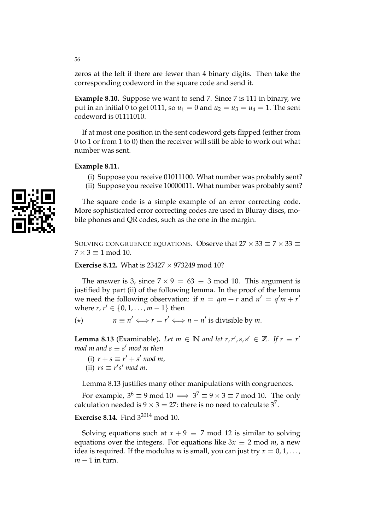zeros at the left if there are fewer than 4 binary digits. Then take the corresponding codeword in the square code and send it.

**Example 8.10.** Suppose we want to send 7. Since 7 is 111 in binary, we put in an initial 0 to get 0111, so  $u_1 = 0$  and  $u_2 = u_3 = u_4 = 1$ . The sent codeword is 01111010.

If at most one position in the sent codeword gets flipped (either from 0 to 1 or from 1 to 0) then the receiver will still be able to work out what number was sent.

# **Example 8.11.**

- (i) Suppose you receive 01011100. What number was probably sent?
- (ii) Suppose you receive 10000011. What number was probably sent?

The square code is a simple example of an error correcting code. More sophisticated error correcting codes are used in Bluray discs, mobile phones and QR codes, such as the one in the margin.

SOLVING CONGRUENCE EQUATIONS. Observe that  $27 \times 33 \equiv 7 \times 33 \equiv 1$  $7 \times 3 \equiv 1 \mod 10$ .

**Exercise 8.12.** What is  $23427 \times 973249$  mod 10?

The answer is 3, since  $7 \times 9 = 63 \equiv 3 \mod 10$ . This argument is justified by part (ii) of the following lemma. In the proof of the lemma we need the following observation: if  $n = qm + r$  and  $n' = q'm + r'$ where *r*,  $r' \in \{0, 1, ..., m - 1\}$  then

(\*)  $n \equiv n' \Longleftrightarrow r = r' \Longleftrightarrow n - n'$  is divisible by *m*.

**Lemma 8.13** (Examinable). Let  $m \in \mathbb{N}$  and let  $r, r', s, s' \in \mathbb{Z}$ . If  $r \equiv r'$  $mod m$  and  $s \equiv s' \mod m$  then

(i)  $r + s \equiv r' + s' \mod m$ , (ii)  $rs \equiv r's' \mod m$ .

Lemma 8.13 justifies many other manipulations with congruences.

For example,  $3^6 \equiv 9 \mod 10 \implies 3^7 \equiv 9 \times 3 \equiv 7 \mod 10$ . The only calculation needed is  $9 \times 3 = 27$ : there is no need to calculate  $3^7$ .

# **Exercise 8.14.** Find 3<sup>2014</sup> mod 10.

Solving equations such at  $x + 9 \equiv 7 \text{ mod } 12$  is similar to solving equations over the integers. For equations like  $3x \equiv 2 \text{ mod } m$ , a new idea is required. If the modulus *m* is small, you can just try  $x = 0, 1, \ldots$ ,  $m - 1$  in turn.

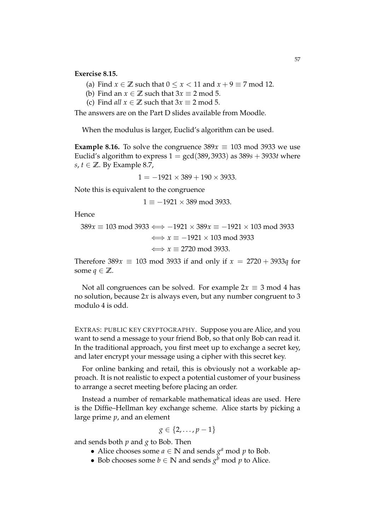- (a) Find  $x \in \mathbb{Z}$  such that  $0 \le x < 11$  and  $x + 9 \equiv 7 \mod 12$ .
- (b) Find an  $x \in \mathbb{Z}$  such that  $3x \equiv 2 \mod 5$ .
- (c) Find *all*  $x \in \mathbb{Z}$  such that  $3x \equiv 2 \mod 5$ .

The answers are on the Part D slides available from Moodle.

When the modulus is larger, Euclid's algorithm can be used.

**Example 8.16.** To solve the congruence  $389x \equiv 103 \text{ mod } 3933$  we use Euclid's algorithm to express  $1 = \gcd(389, 3933)$  as  $389s + 3933t$  where *s*, *t* ∈  $\mathbb{Z}$ . By Example 8.7,

$$
1 = -1921 \times 389 + 190 \times 3933.
$$

Note this is equivalent to the congruence

 $1 \equiv -1921 \times 389 \text{ mod } 3933.$ 

Hence

$$
389x \equiv 103 \mod 3933 \iff -1921 \times 389x \equiv -1921 \times 103 \mod 3933
$$

$$
\iff x \equiv -1921 \times 103 \mod 3933
$$

$$
\iff x \equiv 2720 \mod 3933.
$$

Therefore 389 $x \equiv 103 \text{ mod } 3933$  if and only if  $x = 2720 + 3933q$  for some  $q \in \mathbb{Z}$ .

Not all congruences can be solved. For example  $2x \equiv 3 \mod 4$  has no solution, because 2*x* is always even, but any number congruent to 3 modulo 4 is odd.

EXTRAS: PUBLIC KEY CRYPTOGRAPHY. Suppose you are Alice, and you want to send a message to your friend Bob, so that only Bob can read it. In the traditional approach, you first meet up to exchange a secret key, and later encrypt your message using a cipher with this secret key.

For online banking and retail, this is obviously not a workable approach. It is not realistic to expect a potential customer of your business to arrange a secret meeting before placing an order.

Instead a number of remarkable mathematical ideas are used. Here is the Diffie–Hellman key exchange scheme. Alice starts by picking a large prime *p*, and an element

$$
g\in\{2,\ldots,p-1\}
$$

and sends both *p* and *g* to Bob. Then

- Alice chooses some  $a \in \mathbb{N}$  and sends  $g^a$  mod  $p$  to Bob.
- Bob chooses some  $b \in \mathbb{N}$  and sends  $g^b$  mod  $p$  to Alice.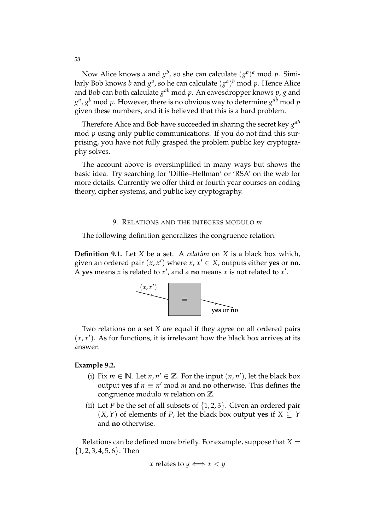Now Alice knows *a* and  $g^b$ , so she can calculate  $(g^b)^a$  mod *p*. Similarly Bob knows  $b$  and  $g^a$ , so he can calculate  $(g^a)^b$  mod  $p$ . Hence Alice and Bob can both calculate  $g^{ab}$  mod  $p$ . An eavesdropper knows  $p$ ,  $g$  and  $g^a$ ,  $g^b$  mod  $p$ . However, there is no obvious way to determine  $g^{ab}$  mod  $p$ given these numbers, and it is believed that this is a hard problem.

Therefore Alice and Bob have succeeded in sharing the secret key *g ab* mod *p* using only public communications. If you do not find this surprising, you have not fully grasped the problem public key cryptography solves.

The account above is oversimplified in many ways but shows the basic idea. Try searching for 'Diffie–Hellman' or 'RSA' on the web for more details. Currently we offer third or fourth year courses on coding theory, cipher systems, and public key cryptography.

#### 9. RELATIONS AND THE INTEGERS MODULO *m*

The following definition generalizes the congruence relation.

**Definition 9.1.** Let *X* be a set. A *relation* on *X* is a black box which, given an ordered pair  $(x, x')$  where  $x, x' \in X$ , outputs either **yes** or **no**. A **yes** means  $x$  is related to  $x'$ , and a **no** means  $x$  is not related to  $x'$ .



Two relations on a set *X* are equal if they agree on all ordered pairs  $(x, x')$ . As for functions, it is irrelevant how the black box arrives at its answer.

### **Example 9.2.**

- (i) Fix  $m \in \mathbb{N}$ . Let  $n, n' \in \mathbb{Z}$ . For the input  $(n, n')$ , let the black box output **yes** if  $n \equiv n'$  mod *m* and **no** otherwise. This defines the congruence modulo *m* relation on **Z**.
- (ii) Let *P* be the set of all subsets of  $\{1, 2, 3\}$ . Given an ordered pair (*X*,*Y*) of elements of *P*, let the black box output **yes** if *X* ⊆ *Y* and **no** otherwise.

Relations can be defined more briefly. For example, suppose that  $X =$  $\{1, 2, 3, 4, 5, 6\}$ . Then

*x* relates to  $y \iff x < y$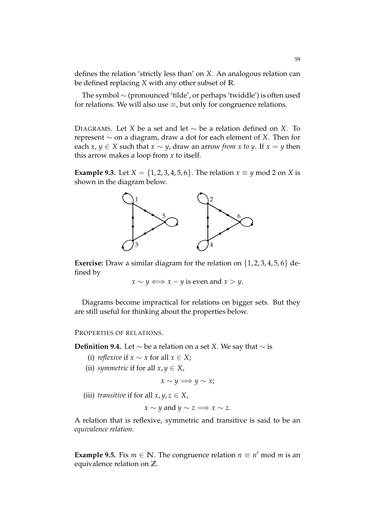defines the relation 'strictly less than' on *X*. An analogous relation can be defined replacing *X* with any other subset of **R**.

The symbol ∼ (pronounced 'tilde', or perhaps 'twiddle') is often used for relations. We will also use  $\equiv$ , but only for congruence relations.

DIAGRAMS. Let *X* be a set and let ∼ be a relation defined on *X*. To represent ∼ on a diagram, draw a dot for each element of *X*. Then for each *x*, *y* ∈ *X* such that *x* ∼ *y*, draw an arrow *from x to y*. If *x* = *y* then this arrow makes a loop from *x* to itself.

**Example 9.3.** Let *X* = {1, 2, 3, 4, 5, 6}. The relation  $x \equiv y \mod 2$  on *X* is shown in the diagram below.



**Exercise:** Draw a similar diagram for the relation on  $\{1, 2, 3, 4, 5, 6\}$  defined by

 $x \sim y \Longleftrightarrow x - y$  is even and  $x > y$ .

Diagrams become impractical for relations on bigger sets. But they are still useful for thinking about the properties below.

PROPERTIES OF RELATIONS.

**Definition 9.4.** Let ∼ be a relation on a set *X*. We say that ∼ is

- (i) *reflexive* if  $x \sim x$  for all  $x \in X$ ;
- (ii) *symmetric* if for all  $x, y \in X$ ,

$$
x \sim y \Longrightarrow y \sim x;
$$

(iii) *transitive* if for all  $x, y, z \in X$ ,

 $x \sim y$  and  $y \sim z \Longrightarrow x \sim z$ .

A relation that is reflexive, symmetric and transitive is said to be an *equivalence relation*.

**Example 9.5.** Fix  $m \in \mathbb{N}$ . The congruence relation  $n \equiv n' \mod m$  is an equivalence relation on **Z**.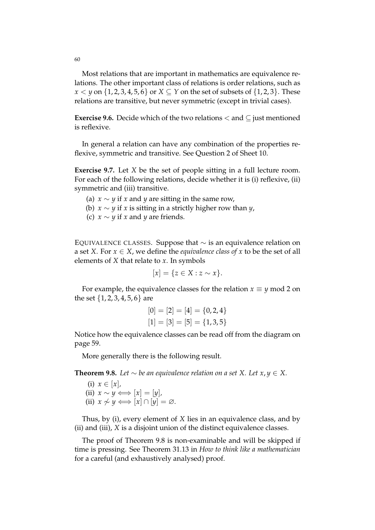Most relations that are important in mathematics are equivalence relations. The other important class of relations is order relations, such as  $x < y$  on  $\{1, 2, 3, 4, 5, 6\}$  or  $X \subseteq Y$  on the set of subsets of  $\{1, 2, 3\}$ . These relations are transitive, but never symmetric (except in trivial cases).

**Exercise 9.6.** Decide which of the two relations  $\lt$  and  $\lt$  just mentioned is reflexive.

In general a relation can have any combination of the properties reflexive, symmetric and transitive. See Question 2 of Sheet 10.

**Exercise 9.7.** Let *X* be the set of people sitting in a full lecture room. For each of the following relations, decide whether it is (i) reflexive, (ii) symmetric and (iii) transitive.

- (a)  $x \sim y$  if x and y are sitting in the same row,
- (b) *x* ∼ *y* if *x* is sitting in a strictly higher row than *y*,
- (c)  $x \sim y$  if *x* and *y* are friends.

EQUIVALENCE CLASSES. Suppose that ∼ is an equivalence relation on a set *X*. For  $x \in X$ , we define the *equivalence class of* x to be the set of all elements of *X* that relate to *x*. In symbols

$$
[x] = \{ z \in X : z \sim x \}.
$$

For example, the equivalence classes for the relation  $x \equiv y \mod 2$  on the set {1, 2, 3, 4, 5, 6} are

$$
[0] = [2] = [4] = \{0, 2, 4\}
$$

$$
[1] = [3] = [5] = \{1, 3, 5\}
$$

Notice how the equivalence classes can be read off from the diagram on page 59.

More generally there is the following result.

**Theorem 9.8.** *Let*  $\sim$  *be an equivalence relation on a set X. Let*  $x, y \in X$ .

(i)  $x \in [x]$ ,  $(iii)$   $x \sim y \Longleftrightarrow [x] = [y]$ (ii)  $x \nsim y \iff [x] \cap [y] = ∅$ *.* 

Thus, by (i), every element of *X* lies in an equivalence class, and by (ii) and (iii), *X* is a disjoint union of the distinct equivalence classes.

The proof of Theorem 9.8 is non-examinable and will be skipped if time is pressing. See Theorem 31.13 in *How to think like a mathematician* for a careful (and exhaustively analysed) proof.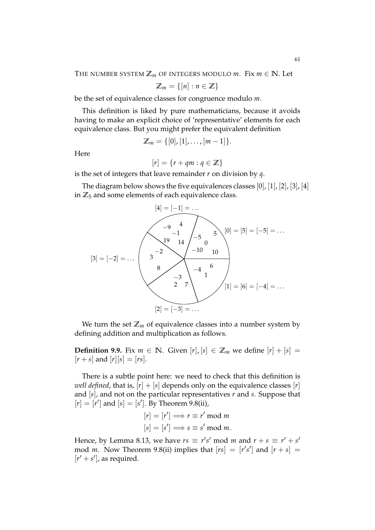THE NUMBER SYSTEM  $\mathbb{Z}_m$  OF INTEGERS MODULO  $m$ . Fix  $m \in \mathbb{N}$ . Let

$$
\mathbb{Z}_m=\{[n]:n\in\mathbb{Z}\}
$$

be the set of equivalence classes for congruence modulo *m*.

This definition is liked by pure mathematicians, because it avoids having to make an explicit choice of 'representative' elements for each equivalence class. But you might prefer the equivalent definition

$$
\mathbb{Z}_m = \{ [0], [1], \ldots, [m-1] \}.
$$

Here

$$
[r] = \{r + qm : q \in \mathbb{Z}\}
$$

is the set of integers that leave remainder *r* on division by *q*.

The diagram below shows the five equivalences classes  $[0], [1], [2], [3], [4]$ in  $\mathbb{Z}_5$  and some elements of each equivalence class.



We turn the set  $\mathbb{Z}_m$  of equivalence classes into a number system by defining addition and multiplication as follows.

**Definition 9.9.** Fix  $m \in \mathbb{N}$ . Given  $[r]$ ,  $[s] \in \mathbb{Z}_m$  we define  $[r] + [s] =$  $[r + s]$  and  $[r][s] = [rs]$ .

There is a subtle point here: we need to check that this definition is *well defined*, that is,  $[r] + [s]$  depends only on the equivalence classes  $[r]$ and [*s*], and not on the particular representatives *r* and *s*. Suppose that  $[r] = [r']$  and  $[s] = [s']$ . By Theorem 9.8(ii),

$$
[r] = [r'] \Longrightarrow r \equiv r' \mod m
$$

$$
[s] = [s'] \Longrightarrow s \equiv s' \mod m.
$$

Hence, by Lemma 8.13, we have  $rs \equiv r's' \mod m$  and  $r + s \equiv r' + s'$ mod *m*. Now Theorem 9.8(ii) implies that  $[rs] = [r's']$  and  $[r + s] =$  $[r' + s']$ , as required.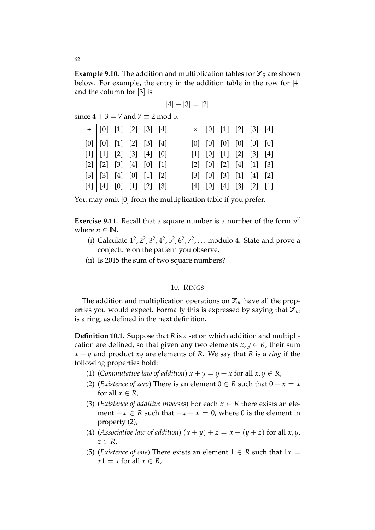**Example 9.10.** The addition and multiplication tables for  $\mathbb{Z}_5$  are shown below. For example, the entry in the addition table in the row for [4] and the column for [3] is

$$
[4]+[3]=[2]
$$

since  $4 + 3 = 7$  and  $7 \equiv 2$  mod 5.

| $+   [0] [1] [2] [3] [4]$           |  |  |  |  | $\times$ [0] [1] [2] [3] [4]        |  |
|-------------------------------------|--|--|--|--|-------------------------------------|--|
| $[0]$ $[0]$ $[1]$ $[2]$ $[3]$ $[4]$ |  |  |  |  | $[0]$ $[0]$ $[0]$ $[0]$ $[0]$ $[0]$ |  |
| [1]   [1] [2] [3] [4] [0]           |  |  |  |  | $[1]$ $[0]$ $[1]$ $[2]$ $[3]$ $[4]$ |  |
| [2]   [2] [3] [4] [0] [1]           |  |  |  |  | [2] [0] [2] [4] [1] [3]             |  |
| [3] [3] [4] [0] [1] [2]             |  |  |  |  | [3] [0] [3] [1] [4] [2]             |  |
| [4] [4] [0] [1] [2] [3]             |  |  |  |  | $[4]$ $[0]$ $[4]$ $[3]$ $[2]$ $[1]$ |  |

You may omit [0] from the multiplication table if you prefer.

**Exercise 9.11.** Recall that a square number is a number of the form *n* 2 where  $n \in \mathbb{N}$ .

- (i) Calculate  $1^2$ ,  $2^2$ ,  $3^2$ ,  $4^2$ ,  $5^2$ ,  $6^2$ ,  $7^2$ , ... modulo 4. State and prove a conjecture on the pattern you observe.
- (ii) Is 2015 the sum of two square numbers?

# 10. RINGS

The addition and multiplication operations on  $\mathbb{Z}_m$  have all the properties you would expect. Formally this is expressed by saying that  $\mathbb{Z}_m$ is a ring, as defined in the next definition.

**Definition 10.1.** Suppose that *R* is a set on which addition and multiplication are defined, so that given any two elements  $x, y \in R$ , their sum *x* + *y* and product *xy* are elements of *R*. We say that *R* is a *ring* if the following properties hold:

- (1) (*Commutative law of addition*)  $x + y = y + x$  for all  $x, y \in R$ ,
- (2) (*Existence of zero*) There is an element  $0 \in R$  such that  $0 + x = x$ for all  $x \in R$ ,
- (3) (*Existence of additive inverses*) For each  $x \in R$  there exists an element  $-x \in R$  such that  $-x + x = 0$ , where 0 is the element in property (2),
- (4) (*Associative law of addition*)  $(x + y) + z = x + (y + z)$  for all  $x, y$ ,  $z \in R$ ,
- (5) (*Existence of one*) There exists an element  $1 \in R$  such that  $1x =$  $x1 = x$  for all  $x \in R$ ,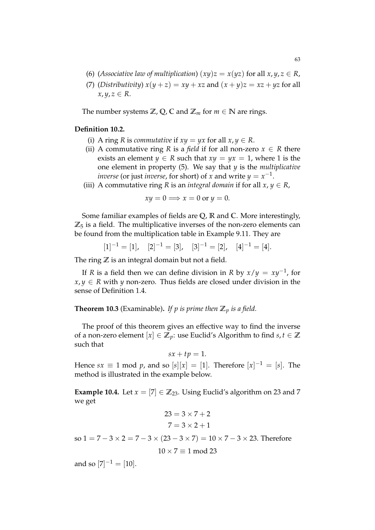- (6) (*Associative law of multiplication*)  $(xy)z = x(yz)$  for all  $x, y, z \in R$ ,
- (7) (*Distributivity*)  $x(y + z) = xy + xz$  and  $(x + y)z = xz + yz$  for all  $x, y, z \in R$ .

The number systems  $\mathbb{Z}$ ,  $\mathbb{Q}$ ,  $\mathbb{C}$  and  $\mathbb{Z}_m$  for  $m \in \mathbb{N}$  are rings.

# **Definition 10.2.**

- (i) A ring *R* is *commutative* if  $xy = yx$  for all  $x, y \in R$ .
- (ii) A commutative ring *R* is a *field* if for all non-zero  $x \in R$  there exists an element *y*  $\in$  *R* such that *xy* = *yx* = 1, where 1 is the one element in property (5). We say that *y* is the *multiplicative inverse* (or just *inverse,* for short) of *x* and write  $y = x^{-1}$ .
- (iii) A commutative ring *R* is an *integral domain* if for all  $x, y \in R$ ,

$$
xy = 0 \Longrightarrow x = 0 \text{ or } y = 0.
$$

Some familiar examples of fields are **Q**, **R** and **C**. More interestingly,  $\mathbb{Z}_5$  is a field. The multiplicative inverses of the non-zero elements can be found from the multiplication table in Example 9.11. They are

$$
[1]^{-1} = [1], \quad [2]^{-1} = [3], \quad [3]^{-1} = [2], \quad [4]^{-1} = [4].
$$

The ring  $\mathbb Z$  is an integral domain but not a field.

If *R* is a field then we can define division in *R* by *x*/*y* = *xy*−<sup>1</sup> , for  $x, y \in R$  with *y* non-zero. Thus fields are closed under division in the sense of Definition 1.4.

# **Theorem 10.3** (Examinable). If p is prime then  $\mathbb{Z}_p$  is a field.

The proof of this theorem gives an effective way to find the inverse of a non-zero element  $[x] \in \mathbb{Z}_p$ : use Euclid's Algorithm to find  $s, t \in \mathbb{Z}$ such that

$$
sx+tp=1.
$$

Hence *sx*  $\equiv$  1 mod *p*, and so [*s*][*x*] = [1]. Therefore [*x*]<sup>-1</sup> = [*s*]. The method is illustrated in the example below.

**Example 10.4.** Let  $x = [7] \in \mathbb{Z}_{23}$ . Using Euclid's algorithm on 23 and 7 we get

$$
23 = 3 \times 7 + 2
$$

$$
7 = 3 \times 2 + 1
$$

so  $1 = 7 - 3 \times 2 = 7 - 3 \times (23 - 3 \times 7) = 10 \times 7 - 3 \times 23$ . Therefore

$$
10 \times 7 \equiv 1 \mod 23
$$

and so  $[7]^{-1} = [10]$ .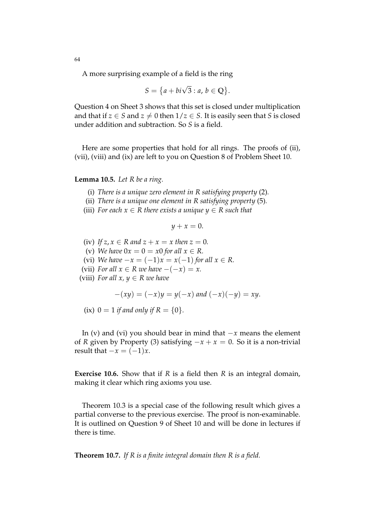A more surprising example of a field is the ring

$$
S = \big\{ a + bi\sqrt{3} : a, b \in \mathbb{Q} \big\}.
$$

Question 4 on Sheet 3 shows that this set is closed under multiplication and that if  $z \in S$  and  $z \neq 0$  then  $1/z \in S$ . It is easily seen that *S* is closed under addition and subtraction. So *S* is a field.

Here are some properties that hold for all rings. The proofs of (ii), (vii), (viii) and (ix) are left to you on Question 8 of Problem Sheet 10.

#### **Lemma 10.5.** *Let R be a ring.*

- (i) *There is a unique zero element in R satisfying property* (2)*.*
- (ii) *There is a unique one element in R satisfying property* (5)*.*
- (iii) *For each*  $x \in R$  *there exists a unique*  $y \in R$  *such that*

 $y + x = 0.$ 

- (iv) If  $z, x \in R$  and  $z + x = x$  then  $z = 0$ .
- (v) *We have*  $0x = 0 = x0$  *for all*  $x \in R$ .
- (vi) *We have*  $-x = (-1)x = x(-1)$  *for all*  $x \in R$ .
- (vii) *For all*  $x \in R$  *we have*  $-(-x) = x$ .
- (viii) *For all x, y*  $\in$  *R we have*

$$
-(xy) = (-x)y = y(-x)
$$
 and  $(-x)(-y) = xy$ .

(ix)  $0 = 1$  *if and only if*  $R = \{0\}$ .

In (v) and (vi) you should bear in mind that −*x* means the element of *R* given by Property (3) satisfying  $-x + x = 0$ . So it is a non-trivial result that  $-x = (-1)x$ .

**Exercise 10.6.** Show that if *R* is a field then *R* is an integral domain, making it clear which ring axioms you use.

Theorem 10.3 is a special case of the following result which gives a partial converse to the previous exercise. The proof is non-examinable. It is outlined on Question 9 of Sheet 10 and will be done in lectures if there is time.

**Theorem 10.7.** *If R is a finite integral domain then R is a field.*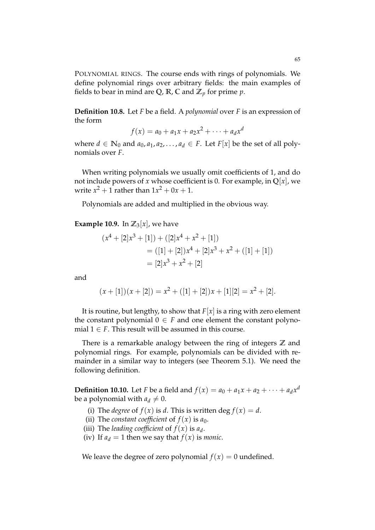POLYNOMIAL RINGS. The course ends with rings of polynomials. We define polynomial rings over arbitrary fields: the main examples of fields to bear in mind are Q,  $\mathbb{R}$ ,  $\mathbb{C}$  and  $\mathbb{Z}_p$  for prime  $p$ .

**Definition 10.8.** Let *F* be a field. A *polynomial* over *F* is an expression of the form

$$
f(x) = a_0 + a_1 x + a_2 x^2 + \dots + a_d x^d
$$

where  $d \in \mathbb{N}_0$  and  $a_0, a_1, a_2, \ldots, a_d \in F$ . Let  $F[x]$  be the set of all polynomials over *F*.

When writing polynomials we usually omit coefficients of 1, and do not include powers of *x* whose coefficient is 0. For example, in  $\mathbb{Q}[x]$ , we write  $x^2 + 1$  rather than  $1x^2 + 0x + 1$ .

Polynomials are added and multiplied in the obvious way.

**Example 10.9.** In  $\mathbb{Z}_3[x]$ , we have

$$
(x4 + [2]x3 + [1]) + ([2]x4 + x2 + [1])
$$
  
= ([1] + [2])x<sup>4</sup> + [2]x<sup>3</sup> + x<sup>2</sup> + ([1] + [1])  
= [2]x<sup>3</sup> + x<sup>2</sup> + [2]

and

$$
(x + [1])(x + [2]) = x2 + ([1] + [2])x + [1][2] = x2 + [2].
$$

It is routine, but lengthy, to show that  $F[x]$  is a ring with zero element the constant polynomial  $0 \in F$  and one element the constant polynomial  $1 \in F$ . This result will be assumed in this course.

There is a remarkable analogy between the ring of integers **Z** and polynomial rings. For example, polynomials can be divided with remainder in a similar way to integers (see Theorem 5.1). We need the following definition.

**Definition 10.10.** Let *F* be a field and  $f(x) = a_0 + a_1x + a_2 + \cdots + a_dx^d$ be a polynomial with  $a_d \neq 0$ .

- (i) The *degree* of  $f(x)$  is *d*. This is written deg  $f(x) = d$ .
- (ii) The *constant coefficient* of  $f(x)$  is  $a_0$ .
- (iii) The *leading coefficient* of  $f(x)$  is  $a_d$ .
- (iv) If  $a_d = 1$  then we say that  $f(x)$  is *monic*.

We leave the degree of zero polynomial  $f(x) = 0$  undefined.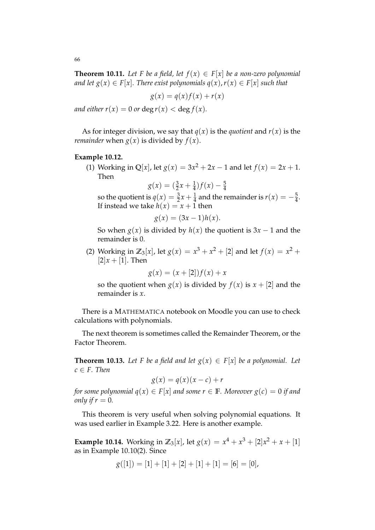**Theorem 10.11.** Let F be a field, let  $f(x) \in F[x]$  be a non-zero polynomial *and let*  $g(x) \in F[x]$ *. There exist polynomials*  $q(x)$ *,*  $r(x) \in F[x]$  *such that* 

$$
g(x) = q(x)f(x) + r(x)
$$

*and either r*(*x*) = 0 *or* deg *r*(*x*) < deg *f*(*x*)*.* 

As for integer division, we say that  $q(x)$  is the *quotient* and  $r(x)$  is the *remainder* when  $g(x)$  is divided by  $f(x)$ .

### **Example 10.12.**

(1) Working in Q[*x*], let  $g(x) = 3x^2 + 2x - 1$  and let  $f(x) = 2x + 1$ . Then

 $g(x) = (\frac{3}{2}x + \frac{1}{4})f(x) - \frac{5}{4}$ 

so the quotient is  $q(x) = \frac{3}{2}x + \frac{1}{4}$  and the remainder is  $r(x) = -\frac{5}{4}$ . If instead we take  $h(x) = x + 1$  then

$$
g(x) = (3x - 1)h(x).
$$

So when  $g(x)$  is divided by  $h(x)$  the quotient is  $3x - 1$  and the remainder is 0.

(2) Working in  $\mathbb{Z}_3[x]$ , let  $g(x) = x^3 + x^2 + [2]$  and let  $f(x) = x^2 +$  $[2]x + [1]$ . Then

$$
g(x) = (x + [2])f(x) + x
$$

so the quotient when  $g(x)$  is divided by  $f(x)$  is  $x + [2]$  and the remainder is *x*.

There is a MATHEMATICA notebook on Moodle you can use to check calculations with polynomials.

The next theorem is sometimes called the Remainder Theorem, or the Factor Theorem.

**Theorem 10.13.** Let F be a field and let  $g(x) \in F[x]$  be a polynomial. Let  $c \in F$ *. Then* 

$$
g(x) = q(x)(x - c) + r
$$

*for some polynomial*  $q(x) \in F[x]$  *and some*  $r \in F$ *. Moreover*  $g(c) = 0$  *if and only if*  $r = 0$ *.* 

This theorem is very useful when solving polynomial equations. It was used earlier in Example 3.22. Here is another example.

**Example 10.14.** Working in  $\mathbb{Z}_3[x]$ , let  $g(x) = x^4 + x^3 + [2]x^2 + x + [1]$ as in Example 10.10(2). Since

$$
g([1]) = [1] + [1] + [2] + [1] + [1] = [6] = [0],
$$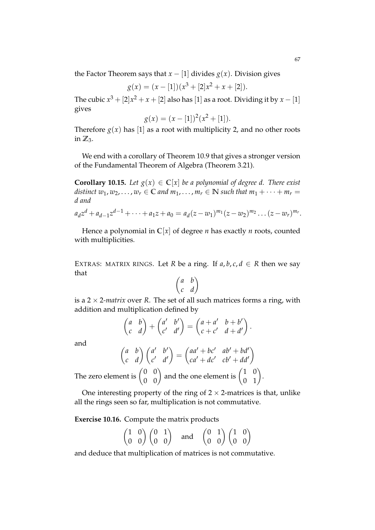the Factor Theorem says that  $x - [1]$  divides  $g(x)$ . Division gives

$$
g(x) = (x - [1])(x3 + [2]x2 + x + [2]).
$$

The cubic  $x^3 + [2]x^2 + x + [2]$  also has [1] as a root. Dividing it by  $x - [1]$ gives

$$
g(x) = (x - [1])^{2}(x^{2} + [1]).
$$

Therefore  $g(x)$  has [1] as a root with multiplicity 2, and no other roots in  $\mathbb{Z}_3$ .

We end with a corollary of Theorem 10.9 that gives a stronger version of the Fundamental Theorem of Algebra (Theorem 3.21).

**Corollary 10.15.** Let  $g(x) \in \mathbb{C}[x]$  be a polynomial of degree d. There exist *distinct*  $w_1, w_2, \ldots, w_r \in \mathbb{C}$  *and*  $m_1, \ldots, m_r \in \mathbb{N}$  *such that*  $m_1 + \cdots + m_r =$ *d and*

$$
a_d z^d + a_{d-1} z^{d-1} + \cdots + a_1 z + a_0 = a_d (z - w_1)^{m_1} (z - w_2)^{m_2} \ldots (z - w_r)^{m_r}.
$$

Hence a polynomial in  $C[x]$  of degree *n* has exactly *n* roots, counted with multiplicities.

EXTRAS: MATRIX RINGS. Let *R* be a ring. If  $a, b, c, d \in R$  then we say that

$$
\begin{pmatrix} a & b \\ c & d \end{pmatrix}
$$

is a  $2 \times 2$ *-matrix* over *R*. The set of all such matrices forms a ring, with addition and multiplication defined by

$$
\begin{pmatrix} a & b \\ c & d \end{pmatrix} + \begin{pmatrix} a' & b' \\ c' & d' \end{pmatrix} = \begin{pmatrix} a+a' & b+b' \\ c+c' & d+d' \end{pmatrix}.
$$

and

$$
\begin{pmatrix} a & b \\ c & d \end{pmatrix} \begin{pmatrix} a' & b' \\ c' & d' \end{pmatrix} = \begin{pmatrix} aa' + bc' & ab' + bd' \\ ca' + dc' & cb' + dd' \end{pmatrix}
$$

The zero element is  $\begin{pmatrix} 0 & 0 \\ 0 & 0 \end{pmatrix}$  and the one element is  $\begin{pmatrix} 1 & 0 \\ 0 & 1 \end{pmatrix}$ .

One interesting property of the ring of  $2 \times 2$ -matrices is that, unlike all the rings seen so far, multiplication is not commutative.

**Exercise 10.16.** Compute the matrix products

$$
\begin{pmatrix}\n1 & 0 \\
0 & 0\n\end{pmatrix}\n\begin{pmatrix}\n0 & 1 \\
0 & 0\n\end{pmatrix}\n\quad \text{and} \quad\n\begin{pmatrix}\n0 & 1 \\
0 & 0\n\end{pmatrix}\n\begin{pmatrix}\n1 & 0 \\
0 & 0\n\end{pmatrix}
$$

and deduce that multiplication of matrices is not commutative.